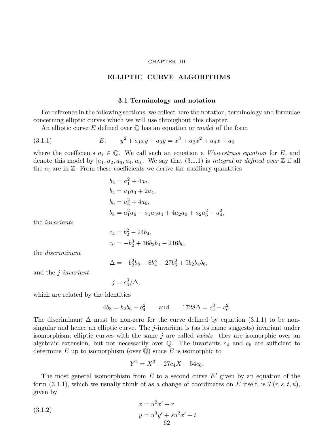#### CHAPTER III

# ELLIPTIC CURVE ALGORITHMS

#### 3.1 Terminology and notation

For reference in the following sections, we collect here the notation, terminology and formulae concerning elliptic curves which we will use throughout this chapter.

An elliptic curve E defined over  $\mathbb Q$  has an equation or *model* of the form

(3.1.1) 
$$
E: \qquad y^2 + a_1xy + a_3y = x^3 + a_2x^2 + a_4x + a_6
$$

where the coefficients  $a_i \in \mathbb{Q}$ . We call such an equation a *Weierstrass equation* for E, and denote this model by  $[a_1, a_2, a_3, a_4, a_6]$ . We say that  $(3.1.1)$  is *integral* or *defined over*  $\mathbb Z$  if all the  $a_i$  are in  $\mathbb{Z}$ . From these coefficients we derive the auxiliary quantities

$$
b_2 = a_1^2 + 4a_2,
$$
  
\n
$$
b_4 = a_1a_3 + 2a_4,
$$
  
\n
$$
b_6 = a_3^2 + 4a_6,
$$
  
\n
$$
b_8 = a_1^2a_6 - a_1a_3a_4 + 4a_2a_6 + a_2a_3^2 - a_4^2,
$$

the invariants

$$
c_4 = b_2^2 - 24b_4,
$$
  

$$
c_6 = -b_2^3 + 36b_2b_4 - 216b_6,
$$

the discriminant

$$
\Delta = -b_2^2 b_8 - 8b_4^3 - 27b_6^2 + 9b_2b_4b_6,
$$

and the j-invariant

$$
j = c_4^3/\Delta,
$$

which are related by the identities

$$
4b_8 = b_2b_6 - b_4^2 \qquad \text{and} \qquad 1728\Delta = c_4^3 - c_6^2.
$$

The discriminant  $\Delta$  must be non-zero for the curve defined by equation (3.1.1) to be nonsingular and hence an elliptic curve. The *j*-invariant is (as its name suggests) invariant under isomorphism; elliptic curves with the same  $j$  are called *twists*: they are isomorphic over an algebraic extension, but not necessarily over  $\mathbb{Q}$ . The invariants  $c_4$  and  $c_6$  are sufficient to determine  $E$  up to isomorphism (over  $\mathbb Q$ ) since  $E$  is isomorphic to

$$
Y^2 = X^3 - 27c_4X - 54c_6.
$$

The most general isomorphism from  $E$  to a second curve  $E'$  given by an equation of the form (3.1.1), which we usually think of as a change of coordinates on E itself, is  $T(r, s, t, u)$ , given by

 $\Omega$ .

(3.1.2) 
$$
x = u^2 x' + r
$$

$$
y = u^3 y' + su^2 x' + t
$$

$$
62
$$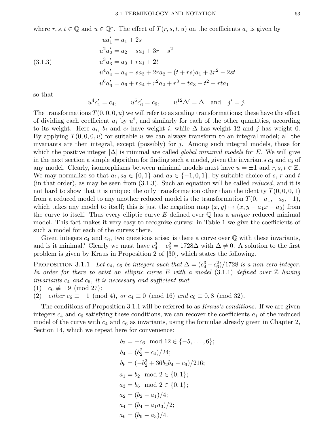where  $r, s, t \in \mathbb{Q}$  and  $u \in \mathbb{Q}^*$ . The effect of  $T(r, s, t, u)$  on the coefficients  $a_i$  is given by

(3.1.3)  
\n
$$
ua'_1 = a_1 + 2s
$$
\n
$$
u^2a'_2 = a_2 - sa_1 + 3r - s^2
$$
\n
$$
u^3a'_3 = a_3 + ra_1 + 2t
$$
\n
$$
u^4a'_4 = a_4 - sa_3 + 2ra_2 - (t + rs)a_1 + 3r^2 - 2st
$$
\n
$$
u^6a'_6 = a_6 + ra_4 + r^2a_2 + r^3 - ta_3 - t^2 - rta_1
$$

so that

$$
u^4c'_4 = c_4
$$
,  $u^6c'_6 = c_6$ ,  $u^{12}\Delta' = \Delta$  and  $j' = j$ .

The transformations  $T(0, 0, 0, u)$  we will refer to as scaling transformations; these have the effect of dividing each coefficient  $a_i$  by  $u^i$ , and similarly for each of the other quantities, according to its weight. Here  $a_i$ ,  $b_i$  and  $c_i$  have weight i, while  $\Delta$  has weight 12 and j has weight 0. By applying  $T(0, 0, 0, u)$  for suitable u we can always transform to an integral model; all the invariants are then integral, except (possibly) for  $j$ . Among such integral models, those for which the positive integer  $|\Delta|$  is minimal are called *global minimal models* for E. We will give in the next section a simple algorithm for finding such a model, given the invariants  $c_4$  and  $c_6$  of any model. Clearly, isomorphisms between minimal models must have  $u = \pm 1$  and  $r, s, t \in \mathbb{Z}$ . We may normalize so that  $a_1, a_3 \in \{0, 1\}$  and  $a_2 \in \{-1, 0, 1\}$ , by suitable choice of s, r and t (in that order), as may be seen from  $(3.1.3)$ . Such an equation will be called *reduced*, and it is not hard to show that it is unique: the only transformation other than the identity  $T(0, 0, 0, 1)$ from a reduced model to any another reduced model is the transformation  $T(0, -a_1, -a_3, -1)$ , which takes any model to itself; this is just the negation map  $(x, y) \mapsto (x, y - a_1x - a_3)$  from the curve to itself. Thus every elliptic curve E defined over  $\mathbb Q$  has a *unique* reduced minimal model. This fact makes it very easy to recognize curves: in Table 1 we give the coefficients of such a model for each of the curves there.

Given integers  $c_4$  and  $c_6$ , two questions arise: is there a curve over  $\mathbb Q$  with these invariants, and is it minimal? Clearly we must have  $c_4^3 - c_6^2 = 1728\Delta$  with  $\Delta \neq 0$ . A solution to the first problem is given by Kraus in Proposition 2 of [30], which states the following.

PROPOSITION 3.1.1. Let  $c_4$ ,  $c_6$  be integers such that  $\Delta = (c_4^3 - c_6^2)/1728$  is a non-zero integer. In order for there to exist an elliptic curve E with a model  $(3.1.1)$  defined over  $\mathbb Z$  having invariants  $c_4$  and  $c_6$ , it is necessary and sufficient that

- (1)  $c_6 \not\equiv \pm 9 \pmod{27}$ ;
- (2) either  $c_6 \equiv -1 \pmod{4}$ , or  $c_4 \equiv 0 \pmod{16}$  and  $c_6 \equiv 0,8 \pmod{32}$ .

The conditions of Proposition 3.1.1 will be referred to as *Kraus's conditions*. If we are given integers  $c_4$  and  $c_6$  satisfying these conditions, we can recover the coefficients  $a_i$  of the reduced model of the curve with  $c_4$  and  $c_6$  as invariants, using the formulae already given in Chapter 2, Section 14, which we repeat here for convenience:

$$
b_2 = -c_6 \mod 12 \in \{-5, \dots, 6\};
$$
  
\n
$$
b_4 = (b_2^2 - c_4)/24;
$$
  
\n
$$
b_6 = (-b_2^3 + 36b_2b_4 - c_6)/216;
$$
  
\n
$$
a_1 = b_2 \mod 2 \in \{0, 1\};
$$
  
\n
$$
a_3 = b_6 \mod 2 \in \{0, 1\};
$$
  
\n
$$
a_2 = (b_2 - a_1)/4;
$$
  
\n
$$
a_4 = (b_4 - a_1a_3)/2;
$$
  
\n
$$
a_6 = (b_6 - a_3)/4.
$$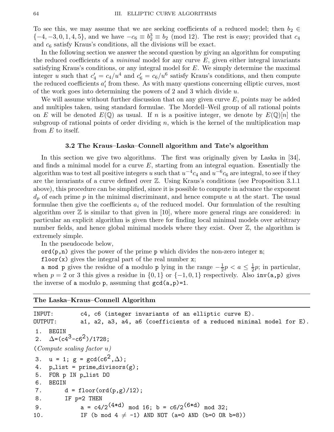To see this, we may assume that we are seeking coefficients of a reduced model; then  $b_2 \in$  $\{-4, -3, 0, 1, 4, 5\}$ , and we have  $-c_6 \equiv b_2^3 \equiv b_2 \pmod{12}$ . The rest is easy; provided that  $c_4$ and  $c_6$  satisfy Kraus's conditions, all the divisions will be exact.

In the following section we answer the second question by giving an algorithm for computing the reduced coefficients of a *minimal* model for any curve  $E$ , given either integral invariants satisfying Kraus's conditions, or any integral model for E. We simply determine the maximal integer u such that  $c_4' = c_4/u^4$  and  $c_6' = c_6/u^6$  satisfy Kraus's conditions, and then compute the reduced coefficients  $a'_i$  from these. As with many questions concerning elliptic curves, most of the work goes into determining the powers of 2 and 3 which divide  $u$ .

We will assume without further discussion that on any given curve  $E$ , points may be added and multiples taken, using standard formulae. The Mordell–Weil group of all rational points on E will be denoted  $E(\mathbb{Q})$  as usual. If n is a positive integer, we denote by  $E(\mathbb{Q})[n]$  the subgroup of rational points of order dividing  $n$ , which is the kernel of the multiplication map from  $E$  to itself.

### 3.2 The Kraus–Laska–Connell algorithm and Tate's algorithm

In this section we give two algorithms. The first was originally given by Laska in [34], and finds a minimal model for a curve  $E$ , starting from an integral equation. Essentially the algorithm was to test all positive integers u such that  $u^{-4}c_4$  and  $u^{-6}c_6$  are integral, to see if they are the invariants of a curve defined over Z. Using Kraus's conditions (see Proposition 3.1.1 above), this procedure can be simplified, since it is possible to compute in advance the exponent  $d_p$  of each prime p in the minimal discriminant, and hence compute u at the start. The usual formulae then give the coefficients  $a_i$  of the reduced model. Our formulation of the resulting algorithm over  $\mathbb Z$  is similar to that given in [10], where more general rings are considered: in particular an explicit algorithm is given there for finding local minimal models over arbitrary number fields, and hence global minimal models where they exist. Over  $\mathbb{Z}$ , the algorithm is extremely simple.

In the pseudocode below,

 $\text{ord}(p,n)$  gives the power of the prime p which divides the non-zero integer n;

floor $(x)$  gives the integral part of the real number x;

a mod p gives the residue of a modulo p lying in the range  $-\frac{1}{2}$  $\frac{1}{2}p < a \leq \frac{1}{2}$  $\frac{1}{2}p$ ; in particular, when  $p = 2$  or 3 this gives a residue in  $\{0, 1\}$  or  $\{-1, 0, 1\}$  respectively. Also inv(a,p) gives the inverse of a modulo p, assuming that  $gcd(a,p)=1$ .

# The Laska–Kraus–Connell Algorithm

```
INPUT: c4, c6 (integer invariants of an elliptic curve E).
OUTPUT: a1, a2, a3, a4, a6 (coefficients of a reduced minimal model for E).
1. BEGIN
2. \Delta = (c4^3 - c6^2)/1728;
(Compute scaling factor u)
3. u = 1; g = gcd(c6<sup>2</sup>, \Delta);
4. p\_list = prime\_divisors(g);5. FOR p IN p list DO
6. BEGIN
7. d = floor(ord(p,g)/12);8. IF p=2 THEN
9. a = c4/2^{(4*d)} mod 16; b = c6/2^{(6*d)} mod 32;
10. IF (b mod 4 \neq -1) AND NOT (a=0 AND (b=0 OR b=8))
```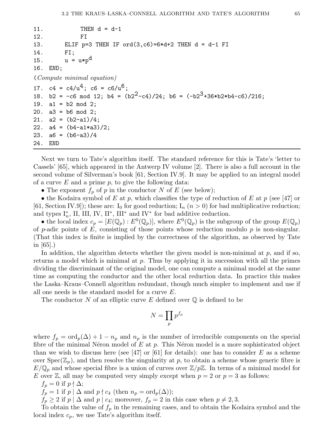```
11. THEN d = d-112. FI
13. ELIF p=3 THEN IF ord(3, c6) = 6*d+2 THEN d = d-1 FI
14. FI;
15. u = u * p^d16. END;
(Compute minimal equation)
17. c4 = c4/u^4; c6 = c6/u^6;
18. b2 = -c6 \mod 12; b4 = (b2^2-c4)/24; b6 = (-b2^3+36*b2*b4-c6)/216;
19. a1 = b2 mod 2;
20. a3 = b6 \mod 2;
21. a2 = (b2-a1)/4;
22. a4 = (b4-a1*a3)/2;
23. a6 = (b6-a3)/424. END
```
Next we turn to Tate's algorithm itself. The standard reference for this is Tate's 'letter to Cassels' [65], which appeared in the Antwerp IV volume [2]. There is also a full account in the second volume of Silverman's book [61, Section IV.9]. It may be applied to an integral model of a curve  $E$  and a prime  $p$ , to give the following data:

• The exponent  $f_p$  of p in the conductor N of E (see below);

• the Kodaira symbol of E at p, which classifies the type of reduction of E at p (see [47] or [61, Section IV.9]); these are: I<sub>0</sub> for good reduction; I<sub>n</sub>  $(n > 0)$  for bad multiplicative reduction; and types  $I_n^*$ , II, III, IV, II<sup>\*</sup>, III<sup>\*</sup> and IV<sup>\*</sup> for bad additive reduction.

• the local index  $c_p = [E(\mathbb{Q}_p) : E^0(\mathbb{Q}_p)]$ , where  $E^0(\mathbb{Q}_p)$  is the subgroup of the group  $E(\mathbb{Q}_p)$ of p-adic points of E, consisting of those points whose reduction modulo  $p$  is non-singular. (That this index is finite is implied by the correctness of the algorithm, as observed by Tate in  $|65|$ .)

In addition, the algorithm detects whether the given model is non-minimal at  $p$ , and if so, returns a model which is minimal at  $p$ . Thus by applying it in succession with all the primes dividing the discriminant of the original model, one can compute a minimal model at the same time as computing the conductor and the other local reduction data. In practice this makes the Laska–Kraus–Connell algorithm redundant, though much simpler to implement and use if all one needs is the standard model for a curve E.

The conductor N of an elliptic curve E defined over  $\mathbb Q$  is defined to be

$$
N=\prod_p p^{f_p}
$$

where  $f_p = \text{ord}_p(\Delta) + 1 - n_p$  and  $n_p$  is the number of irreducible components on the special fibre of the minimal Néron model of  $E$  at  $p$ . This Néron model is a more sophisticated object than we wish to discuss here (see [47] or [61] for details): one has to consider E as a scheme over  $Spec(\mathbb{Z}_p)$ , and then resolve the singularity at p, to obtain a scheme whose generic fibre is  $E/\mathbb{Q}_p$  and whose special fibre is a union of curves over  $\mathbb{Z}/p\mathbb{Z}$ . In terms of a minimal model for E over Z, all may be computed very simply except when  $p = 2$  or  $p = 3$  as follows:

- $f_p = 0$  if  $p \nmid \Delta$ ;
- $f_p = 1$  if  $p | \Delta$  and  $p \nmid c_4$  (then  $n_p = \text{ord}_p(\Delta)$ );

 $f_p \geq 2$  if  $p \mid \Delta$  and  $p \mid c_4$ ; moreover,  $f_p = 2$  in this case when  $p \neq 2, 3$ .

To obtain the value of  $f_p$  in the remaining cases, and to obtain the Kodaira symbol and the local index  $c_p$ , we use Tate's algorithm itself.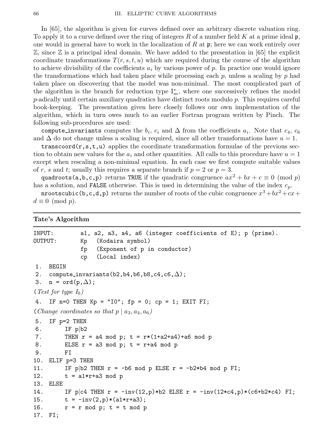In [65], the algorithm is given for curves defined over an arbitrary discrete valuation ring. To apply it to a curve defined over the ring of integers R of a number field K at a prime ideal  $\mathfrak{p}$ , one would in general have to work in the localization of  $R$  at  $\mathfrak{p}$ ; here we can work entirely over  $\mathbb{Z}$ , since  $\mathbb{Z}$  is a principal ideal domain. We have added to the presentation in [65] the explicit coordinate transformations  $T(r, s, t, u)$  which are required during the course of the algorithm to achieve divisibility of the coefficients  $a_i$  by various power of p. In practice one would ignore the transformations which had taken place while processing each  $p$ , unless a scaling by  $p$  had taken place on discovering that the model was non-minimal. The most complicated part of the algorithm is the branch for reduction type  $I_m^*$ , where one successively refines the model  $p$ -adically until certain auxiliary quadratics have distinct roots modulo  $p$ . This requires careful book-keeping. The presentation given here closely follows our own implementation of the algorithm, which in turn owes much to an earlier Fortran program written by Pinch. The following sub-procedures are used:

compute invariants computes the  $b_i$ ,  $c_i$  and  $\Delta$  from the coefficients  $a_i$ . Note that  $c_4$ ,  $c_6$ and  $\Delta$  do not change unless a scaling is required, since all other transformations have  $u = 1$ .

transcoord( $r,s,t,u$ ) applies the coordinate transformation formulae of the previous section to obtain new values for the  $a_i$  and other quantities. All calls to this procedure have  $u = 1$ except when rescaling a non-minimal equation. In each case we first compute suitable values of r, s and t; usually this requires a separate branch if  $p = 2$  or  $p = 3$ .

quadroots(a,b,c,p) returns TRUE if the quadratic congruence  $ax^2 + bx + c \equiv 0 \pmod{p}$ has a solution, and FALSE otherwise. This is used in determining the value of the index  $c_p$ .

 ${\tt nrootscubic(b,c,d,p)}$  returns the number of roots of the cubic congruence  $x^3+bx^2+cx+$  $d \equiv 0 \pmod{p}$ .

| INPUT:<br>OUTPUT: | a1, a2, a3, a4, a6 (integer coefficients of $E$ ); p (prime).<br>Kp (Kodaira symbol)<br>fp (Exponent of p in conductor)<br>cp (Local index) |
|-------------------|---------------------------------------------------------------------------------------------------------------------------------------------|
| 1.                | BEGIN                                                                                                                                       |
|                   | 2. compute_invariants(b2,b4,b6,b8,c4,c6, $\Delta$ );<br>3. $n = ord(p, \Delta)$ ;                                                           |
|                   |                                                                                                                                             |
|                   | (Test for type $I_0$ )                                                                                                                      |
|                   | 4. IF $n=0$ THEN $Kp = "I0";$ $fp = 0; cp = 1; EXIT FI;$                                                                                    |
|                   | ( <i>Change coordinates so that</i> $p   a_3, a_4, a_6$ <i>)</i>                                                                            |
|                   | 5. IF p=2 THEN                                                                                                                              |
|                   | 6. IF $p b2$                                                                                                                                |
|                   | 7.<br>THEN $r = a4 \mod p$ ; $t = r*(1+a2+a4)+a6 \mod p$                                                                                    |
| 8.                | ELSE $r = a3 \mod p$ ; $t = r+a4 \mod p$                                                                                                    |
| 9.                | FI.                                                                                                                                         |
|                   | 10. ELIF p=3 THEN                                                                                                                           |
| 11.               | IF p b2 THEN $r = -b6 \mod p$ ELSE $r = -b2*b4 \mod p$ FI;                                                                                  |
| 12.               | $t = a1*r+a3 \mod p$                                                                                                                        |
| 13.               | ELSE                                                                                                                                        |
| 14.               | IF $p c4$ THEN $r = -inv(12, p) * b2$ ELSE $r = -inv(12 * c4, p) * (c6+b2 * c4)$ FI;                                                        |
|                   | 15. $t = -inv(2,p)*(a1*r+a3);$                                                                                                              |
| 16.               | $r = r \mod p$ ; $t = t \mod p$                                                                                                             |
| 17. FI;           |                                                                                                                                             |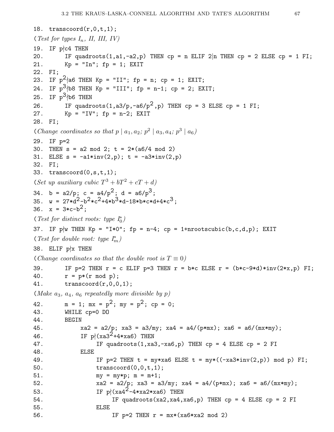```
18. transcoord(r, 0, t, 1);
(Test for types I_n, II, III, IV)
19. IF p \nmid c4 THEN
20. IF quadroots(1,a1,-a2,p) THEN cp = n ELIF 2|n THEN cp = 2 ELSE cp = 1 FI;<br>21. Kp = "In": fp = 1: EXIT
         Kp = "In"; fp = 1; EXIT
22. FI;
23. IF p^2 a6 THEN Kp = "II"; fp = n; cp = 1; EXIT;
24. IF p^3/b8 THEN Kp = "III"; fp = n-1; cp = 2; EXIT;
25. IF p^3/b6 THEN
26. IF quadroots(1,a3/p,-a6/p<sup>2</sup>,p) THEN cp = 3 ELSE cp = 1 FI;
27. Kp = "IV"; fp = n-2; EXIT
28. FI;
(Change coordinates so that p \mid a_1, a_2; p^2 \mid a_3, a_4; p^3 \mid a_6)
29. IF p=2
30. THEN s = a2 \mod 2; t = 2*(a6/4 \mod 2)31. ELSE s = -a1*inv(2,p); t = -a3*inv(2,p)32. FI;
33. transcoord(0,s,t,1);
(Set up auxiliary cubic T^3 + bT^2 + cT + d)
34. b = a2/p; c = a4/p^2; d = a6/p^3;
35. w = 27*d^2-b^2*c^2+4*b^3*d-18*b*c*d+4*c^3;
36. x = 3 \cdot c - b^2;
(Test for distinct roots: type I_0^*)
37. IF p/w THEN Kp = "I*0"; fp = n-4; cp = 1+nrootscubic(b,c,d,p); EXIT
(Test for double root: type I_m^*)
38. ELIF p/x THEN
(Change coordinates so that the double root is T \equiv 0)
39. IF p=2 THEN r = c ELIF p=3 THEN r = b * c ELSE r = (b * c - 9 * d) * inv(2 * x, p) FI;
40. r = p*(r \mod p);41. transcoord(r,0,0,1);
(Make a_3, a_4, a_6 repeatedly more divisible by p)
42. m = 1; mx = p^2; my = p^2; cp = 0;
43. WHILE cp=0 DO
44. BEGIN
45. x a 2 = a 2/p; x a 3 = a 3/my; x a 4 = a 4/(p * mx); x a 6 = a 6/(mx * my);
46. IF p/(xa3^2+4*xa6) THEN
47. IF quadroots(1,xa3,-xa6,p) THEN cp = 4 ELSE cp = 2 FI
48. ELSE
49. IF p=2 THEN t = my*xa6 ELSE t = my*((-xa3*inv(2,p)) mod p) FI;
50. transcoord(0,0,t,1);
51. my = my * p; m = m+1;52. xa2 = a2/p; xa3 = a3/my; xa4 = a4/(p*mx); xa6 = a6/(mx*my);
53. IF p/(xa4^2-4*xa2*xa6) THEN
54. IF quadroots(xa2,xa4,xa6,p) THEN cp = 4 ELSE cp = 2 FI
55. ELSE
56. IF p=2 THEN r = mx*(xa6*xa2 \mod 2)
```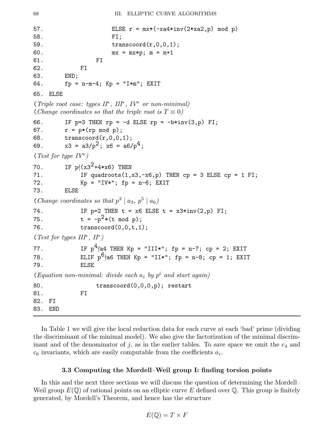```
57. ELSE r = mx*(-xa4*inv(2*xa2,p) \mod p)58. FI;
59. transcoord(r,0,0,1);60. mx = mx * p; m = m+161. FI
62. FI
63. END;
64. fp = n-m-4; Kp = "I*m"; EXIT
65. ELSE
(Triple root case: types II∗
, III∗
, IV∗ or non-minimal)
(Change coordinates so that the triple root is T \equiv 0)
66. IF p=3 THEN rp = -d ELSE rp = -b*inv(3,p) FI;
67. r = p*(rp \mod p);68. transcoord(r,0,0,1);
69. x3 = a3/p^2; x6 = a6/p^4;
(Test for type IV∗
)
70. IF p/(x3^2+4*x6) THEN
71. IF quadroots(1,x3,-x6,p) THEN cp = 3 ELSE cp = 1 FI;
72. Kp = "IV*"; fp = n-6; EXIT73. ELSE
(Change coordinates so that p^3 \mid a_3, p^5 \mid a_6)
74. IF p=2 THEN t = x6 ELSE t = x3*inv(2,p) FI;
75. t = -p^2*(t \mod p);
76. transcoord(0,0,t,1);
(Test for types III^*, II^*)
77. IF p^4 a4 THEN Kp = "III*"; fp = n-7; cp = 2; EXIT
78. ELIF p^6 a6 THEN Kp = "II*"; fp = n-8; cp = 1; EXIT
79. ELSE
(Equation non-minimal: divide each a_i by p^i and start again)
80. transcoord(0,0,0,p); restart
81. FI
82. FI
83. END
```
In Table 1 we will give the local reduction data for each curve at each 'bad' prime (dividing the discriminant of the minimal model). We also give the factorization of the minimal discriminant and of the denominator of j, as in the earlier tables. To save space we omit the  $c_4$  and  $c_6$  invariants, which are easily computable from the coefficients  $a_i$ .

# 3.3 Computing the Mordell–Weil group I: finding torsion points

In this and the next three sections we will discuss the question of determining the Mordell– Weil group  $E(\mathbb{Q})$  of rational points on an elliptic curve E defined over  $\mathbb{Q}$ . This group is finitely generated, by Mordell's Theorem, and hence has the structure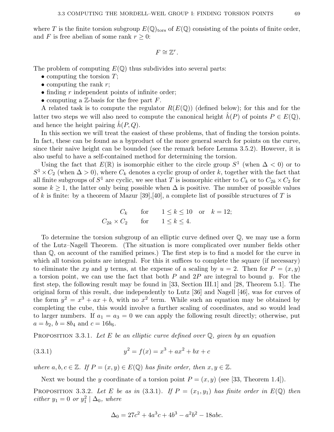where T is the finite torsion subgroup  $E(\mathbb{Q})_{\text{tors}}$  of  $E(\mathbb{Q})$  consisting of the points of finite order, and F is free abelian of some rank  $r \geq 0$ :

$$
F\cong \mathbb{Z}^r.
$$

The problem of computing  $E(\mathbb{Q})$  thus subdivides into several parts:

- computing the torsion  $T$ ;
- computing the rank  $r$ ;
- finding  $r$  independent points of infinite order;
- computing a  $\mathbb{Z}$ -basis for the free part F.

A related task is to compute the regulator  $R(E(\mathbb{Q}))$  (defined below); for this and for the latter two steps we will also need to compute the canonical height  $\hat{h}(P)$  of points  $P \in E(\mathbb{Q}),$ and hence the height pairing  $h(P,Q)$ .

In this section we will treat the easiest of these problems, that of finding the torsion points. In fact, these can be found as a byproduct of the more general search for points on the curve, since their naive height can be bounded (see the remark before Lemma 3.5.2). However, it is also useful to have a self-contained method for determining the torsion.

Using the fact that  $E(\mathbb{R})$  is isomorphic either to the circle group  $S^1$  (when  $\Delta < 0$ ) or to  $S^1 \times C_2$  (when  $\Delta > 0$ ), where  $C_k$  denotes a cyclic group of order k, together with the fact that all finite subgroups of  $S^1$  are cyclic, we see that T is isomorphic either to  $C_k$  or to  $C_{2k} \times C_2$  for some  $k \geq 1$ , the latter only being possible when  $\Delta$  is positive. The number of possible values of k is finite: by a theorem of Mazur [39], [40], a complete list of possible structures of T is

$$
C_k \qquad \text{for} \qquad 1 \le k \le 10 \quad \text{or} \quad k = 12;
$$
  

$$
C_{2k} \times C_2 \qquad \text{for} \qquad 1 \le k \le 4.
$$

To determine the torsion subgroup of an elliptic curve defined over Q, we may use a form of the Lutz–Nagell Theorem. (The situation is more complicated over number fields other than Q, on account of the ramified primes.) The first step is to find a model for the curve in which all torsion points are integral. For this it suffices to complete the square (if necessary) to eliminate the xy and y terms, at the expense of a scaling by  $u = 2$ . Then for  $P = (x, y)$ a torsion point, we can use the fact that both  $P$  and  $2P$  are integral to bound  $y$ . For the first step, the following result may be found in [33, Section III.1] and [28, Theorem 5.1]. The original form of this result, due independently to Lutz [36] and Nagell [46], was for curves of the form  $y^2 = x^3 + ax + b$ , with no  $x^2$  term. While such an equation may be obtained by completing the cube, this would involve a further scaling of coordinates, and so would lead to larger numbers. If  $a_1 = a_3 = 0$  we can apply the following result directly; otherwise, put  $a = b_2$ ,  $b = 8b_4$  and  $c = 16b_6$ .

PROPOSITION 3.3.1. Let E be an elliptic curve defined over  $\mathbb{Q}$ , given by an equation

(3.3.1) 
$$
y^2 = f(x) = x^3 + ax^2 + bx + c
$$

where  $a, b, c \in \mathbb{Z}$ . If  $P = (x, y) \in E(\mathbb{Q})$  has finite order, then  $x, y \in \mathbb{Z}$ .

Next we bound the y coordinate of a torsion point  $P = (x, y)$  (see [33, Theorem 1.4]).

PROPOSITION 3.3.2. Let E be as in (3.3.1). If  $P = (x_1, y_1)$  has finite order in  $E(\mathbb{Q})$  then  $either y_1 = 0 \text{ or } y_1^2 \mid \Delta_0, \text{ where}$ 

$$
\Delta_0 = 27c^2 + 4a^3c + 4b^3 - a^2b^2 - 18abc.
$$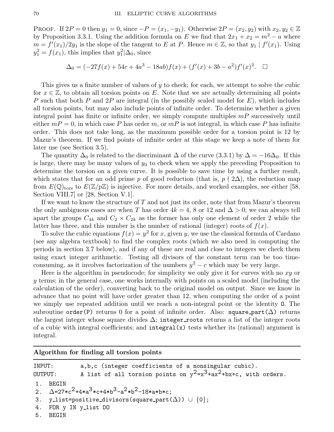PROOF. If  $2P = 0$  then  $y_1 = 0$ , since  $-P = (x_1, -y_1)$ . Otherwise  $2P = (x_2, y_2)$  with  $x_2, y_2 \in \mathbb{Z}$ by Proposition 3.3.1. Using the addition formula on E we find that  $2x_1 + x_2 = m^2 - a$  where  $m = f'(x_1)/2y_1$  is the slope of the tangent to E at P. Hence  $m \in \mathbb{Z}$ , so that  $y_1 \mid f'(x_1)$ . Using  $y_1^2 = f(x_1)$ , this implies that  $y_1^2 | \Delta_0$ , since

$$
\Delta_0 = (-27f(x) + 54c + 4a^3 - 18ab)f(x) + (f'(x) + 3b - a^2)f'(x)^2. \quad \Box
$$

This gives us a finite number of values of  $y$  to check; for each, we attempt to solve the cubic for  $x \in \mathbb{Z}$ , to obtain all torsion points on E. Note that we are actually determining all points P such that both P and  $2P$  are integral (in the possibly scaled model for E), which includes all torsion points, but may also include points of infinite order. To determine whether a given integral point has finite or infinite order, we simply compute multiples  $m<sup>P</sup>$  successively until either  $mP = 0$ , in which case P has order m, or  $mP$  is not integral, in which case P has infinite order. This does not take long, as the maximum possible order for a torsion point is 12 by Mazur's theorem. If we find points of infinite order at this stage we keep a note of them for later use (see Section 3.5).

The quantity  $\Delta_0$  is related to the discriminant  $\Delta$  of the curve (3.3.1) by  $\Delta = -16\Delta_0$ . If this is large, there may be many values of  $y_0$  to check when we apply the preceding Proposition to determine the torsion on a given curve. It is possible to save time by using a further result, which states that for an odd prime p of good reduction (that is,  $p \nmid 2\Delta$ ), the reduction map from  $E(\mathbb{Q})_{\text{tors}}$  to  $E(\mathbb{Z}/p\mathbb{Z})$  is injective. For more details, and worked examples, see either [58, Section VIII.7 or [28, Section V.1].

If we want to know the structure of  $T$  and not just its order, note that from Mazur's theorem the only ambiguous cases are when T has order  $4k = 4$ , 8 or 12 and  $\Delta > 0$ ; we can always tell apart the groups  $C_{4k}$  and  $C_2 \times C_{2k}$  as the former has only one element of order 2 while the latter has three, and this number is the number of rational (integer) roots of  $f(x)$ .

To solve the cubic equations  $f(x) = y^2$  for x, given y, we use the classical formula of Cardano (see any algebra textbook) to find the complex roots (which we also need in computing the periods in section 3.7 below), and if any of these are real and close to integers we check them using exact integer arithmetic. Testing all divisors of the constant term can be too timeconsuming, as it involves factorization of the numbers  $y^2 - c$  which may be very large.

Here is the algorithm in pseudocode; for simplicity we only give it for curves with no  $xy$  or y terms; in the general case, one works internally with points on a scaled model (including the calculation of the order), converting back to the original model on output. Since we know in advance that no point will have order greater than 12, when computing the order of a point we simply use repeated addition until we reach a non-integral point or the identity O. The subroutine order(P) returns 0 for a point of infinite order. Also: square\_part( $\Delta$ ) returns the largest integer whose square divides  $\Delta$ ; integer roots returns a list of the integer roots of a cubic with integral coefficients; and  $interval(x)$  tests whether its (rational) argument is integral.

# Algorithm for finding all torsion points

| INPUT:  |                                                                  | a,b,c (integer coefficients of a nonsingular cubic).                                                                  |  |  |  |  |  |  |
|---------|------------------------------------------------------------------|-----------------------------------------------------------------------------------------------------------------------|--|--|--|--|--|--|
| OUTPUT: |                                                                  | A list of all torsion points on $y^2 = x^3 + ax^2 + bx + c$ , with orders.                                            |  |  |  |  |  |  |
|         | 1. BEGIN                                                         |                                                                                                                       |  |  |  |  |  |  |
|         |                                                                  | 2. $\Delta = 27 \times c^2 + 4 \times a^3 \times c + 4 \times b^3 - a^2 \times b^2 - 18 \times a \times b \times c$ ; |  |  |  |  |  |  |
|         | 3. y_list=positive_divisors(square_part( $\Delta$ )) $\cup$ {0}; |                                                                                                                       |  |  |  |  |  |  |
|         |                                                                  | 4. FOR y IN y_list DO                                                                                                 |  |  |  |  |  |  |
|         | 5. BEGIN                                                         |                                                                                                                       |  |  |  |  |  |  |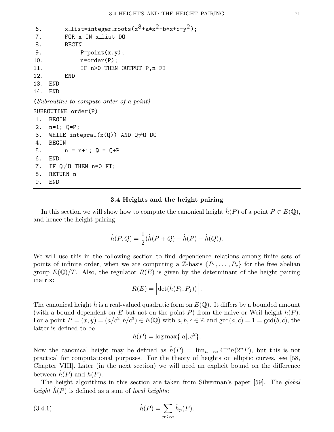```
6. x\text{-}list=\text{integer\_roots}(x^3+a*x^2+b*x+c-y^2);7. FOR x IN x list DO
8. BEGIN
9. P=point(x,y);10. n=order(P);
11. IF n>0 THEN OUTPUT P,n FI
12. END
13. END
14. END
(Subroutine to compute order of a point)
SUBROUTINE order(P)
1. BEGIN
2. n=1; Q=P;
3. WHILE integral(x(Q)) AND \mathbb{Q}\neq0 DO 4. BEGIN
    4. BEGIN
5. n = n+1; Q = Q+P6. END;
7. IF Q≠O THEN n=O FI;<br>8. RETURN n
    RETURN n
9. END
```
# 3.4 Heights and the height pairing

In this section we will show how to compute the canonical height  $h(P)$  of a point  $P \in E(\mathbb{Q})$ , and hence the height pairing

$$
\hat{h}(P,Q) = \frac{1}{2}(\hat{h}(P+Q) - \hat{h}(P) - \hat{h}(Q)).
$$

We will use this in the following section to find dependence relations among finite sets of points of infinite order, when we are computing a Z-basis  $\{P_1, \ldots, P_r\}$  for the free abelian group  $E(\mathbb{Q})/T$ . Also, the regulator  $R(E)$  is given by the determinant of the height pairing matrix:

$$
R(E) = \left| \det(\hat{h}(P_i, P_j)) \right|.
$$

The canonical height h is a real-valued quadratic form on  $E(\mathbb{Q})$ . It differs by a bounded amount (with a bound dependent on E but not on the point P) from the naive or Weil height  $h(P)$ . For a point  $P = (x, y) = (a/c^2, b/c^3) \in E(\mathbb{Q})$  with  $a, b, c \in \mathbb{Z}$  and  $gcd(a, c) = 1 = gcd(b, c)$ , the latter is defined to be

$$
h(P) = \log \max\{|a|, c^2\}.
$$

Now the canonical height may be defined as  $\hat{h}(P) = \lim_{n \to \infty} 4^{-n} h(2^n P)$ , but this is not practical for computational purposes. For the theory of heights on elliptic curves, see [58, Chapter VIII]. Later (in the next section) we will need an explicit bound on the difference between  $\hat{h}(P)$  and  $h(P)$ .

The height algorithms in this section are taken from Silverman's paper [59]. The *global* height  $\hat{h}(P)$  is defined as a sum of local heights:

(3.4.1) 
$$
\hat{h}(P) = \sum_{p \le \infty} \hat{h}_p(P).
$$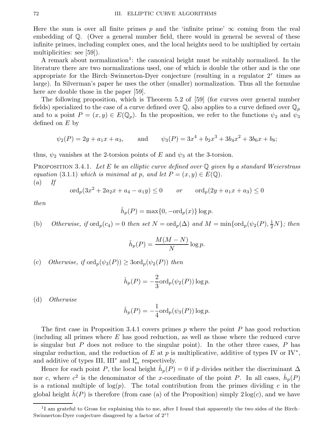Here the sum is over all finite primes p and the 'infinite prime'  $\infty$  coming from the real embedding of Q. (Over a general number field, there would in general be several of these infinite primes, including complex ones, and the local heights need to be multiplied by certain multiplicities: see [59]).

A remark about normalization<sup>1</sup>: the canonical height must be suitably normalized. In the literature there are two normalizations used, one of which is double the other and is the one appropriate for the Birch–Swinnerton-Dyer conjecture (resulting in a regulator  $2<sup>r</sup>$  times as large). In Silverman's paper he uses the other (smaller) normalization. Thus all the formulae here are double those in the paper [59].

The following proposition, which is Theorem 5.2 of [59] (for curves over general number fields) specialized to the case of a curve defined over  $\mathbb{Q}$ , also applies to a curve defined over  $\mathbb{Q}_p$ and to a point  $P = (x, y) \in E(\mathbb{Q}_p)$ . In the proposition, we refer to the functions  $\psi_2$  and  $\psi_3$ defined on  $E$  by

$$
\psi_2(P) = 2y + a_1x + a_3
$$
, and  $\psi_3(P) = 3x^4 + b_2x^3 + 3b_4x^2 + 3b_6x + b_8$ ;

thus,  $\psi_2$  vanishes at the 2-torsion points of E and  $\psi_3$  at the 3-torsion.

PROPOSITION 3.4.1. Let E be an elliptic curve defined over  $\mathbb Q$  given by a standard Weierstrass equation (3.1.1) which is minimal at p, and let  $P = (x, y) \in E(\mathbb{Q})$ .<br>(a) If  $(a)$ 

$$
\text{ord}_p(3x^2 + 2a_2x + a_4 - a_1y) \le 0 \qquad \text{or} \qquad \text{ord}_p(2y + a_1x + a_3) \le 0
$$

then

$$
\hat{h}_p(P) = \max\{0, -\text{ord}_p(x)\} \log p.
$$

(b) Otherwise, if  $\text{ord}_p(c_4) = 0$  then set  $N = \text{ord}_p(\Delta)$  and  $M = \min{\text{ord}_p(\psi_2(P), \frac{1}{2}N)}$ ; then

$$
\hat{h}_p(P) = \frac{M(M-N)}{N} \log p.
$$

(c) Otherwise, if  $\text{ord}_p(\psi_3(P)) \geq 3 \text{ord}_p(\psi_2(P))$  then

$$
\hat{h}_p(P) = -\frac{2}{3} \text{ord}_p(\psi_2(P)) \log p.
$$

(d) Otherwise

$$
\hat{h}_p(P) = -\frac{1}{4}\text{ord}_p(\psi_3(P))\log p.
$$

The first case in Proposition 3.4.1 covers primes  $p$  where the point  $P$  has good reduction (including all primes where E has good reduction, as well as those where the reduced curve is singular but  $P$  does not reduce to the singular point). In the other three cases,  $P$  has singular reduction, and the reduction of E at p is multiplicative, additive of types IV or  $IV^*$ , and additive of types III,  $III^*$  and  $I_m^*$  respectively.

Hence for each point P, the local height  $\hat{h}_p(P) = 0$  if p divides neither the discriminant  $\Delta$ nor c, where  $c^2$  is the denominator of the x-coordinate of the point P. In all cases,  $\hat{h}_p(P)$ is a rational multiple of  $log(p)$ . The total contribution from the primes dividing c in the global height  $h(P)$  is therefore (from case (a) of the Proposition) simply  $2\log(c)$ , and we have

<sup>&</sup>lt;sup>1</sup>I am grateful to Gross for explaining this to me, after I found that apparently the two sides of the Birch– Swinnerton-Dyer conjecture disagreed by a factor of  $2<sup>r</sup>!$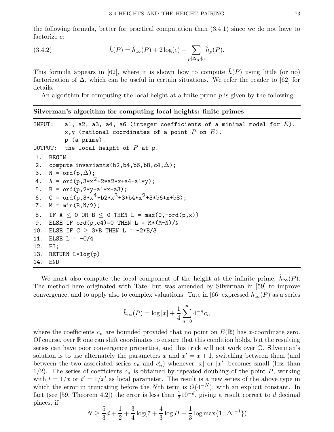the following formula, better for practical computation than (3.4.1) since we do not have to factorize c:

(3.4.2) 
$$
\hat{h}(P) = \hat{h}_{\infty}(P) + 2\log(c) + \sum_{p|\Delta, p \nmid c} \hat{h}_p(P).
$$

This formula appears in [62], where it is shown how to compute  $\hat{h}(P)$  using little (or no) factorization of  $\Delta$ , which can be useful in certain situations. We refer the reader to [62] for details.

An algorithm for computing the local height at a finite prime  $p$  is given by the following:

# Silverman's algorithm for computing local heights: finite primes

```
INPUT: a1, a2, a3, a4, a6 (integer coefficients of a minimal model for E).
           x,y (rational coordinates of a point P on E).
           p (a prime).
OUTPUT: the local height of P at p.
1. BEGIN
2. compute_invariants(b2,b4,b6,b8,c4,\Delta);
3. N = ord(p, \Delta);
4. A = ord(p, 3*x^2+2*a2*x+a4-a1*y);5. B = ord(p, 2*y+a1*x+a3);6. C = \text{ord}(p, 3*x^4 + b2*x^3 + 3*b4*x^2 + 3*b6*x + b8);7. M = min(B,N/2);
8. IF A \le 0 OR B \le 0 THEN L = max(0, -ord(p, x))<br>9. ELSE IF ord(p, c4)=0 THEN L = M * (M-N)/NELSE IF ord(p, c4)=0 THEN L = M*(M-N)/N
10. ELSE IF C \geq 3*B THEN L = -2*B/3<br>11. ELSE L = -C/4ELSE L = -C/412. FI;
13. RETURN L*log(p)
14. END
```
We must also compute the local component of the height at the infinite prime,  $h_{\infty}(P)$ . The method here originated with Tate, but was amended by Silverman in [59] to improve convergence, and to apply also to complex valuations. Tate in [66] expressed  $h_{\infty}(P)$  as a series

$$
\hat{h}_{\infty}(P) = \log|x| + \frac{1}{4} \sum_{n=0}^{\infty} 4^{-n} c_n
$$

where the coefficients  $c_n$  are bounded provided that no point on  $E(\mathbb{R})$  has x-coordinate zero. Of course, over  $\mathbb R$  one can shift coordinates to ensure that this condition holds, but the resulting series can have poor convergence properties, and this trick will not work over C. Silverman's solution is to use alternately the parameters x and  $x' = x + 1$ , switching between them (and between the two associated series  $c_n$  and  $c'_n$ ) whenever |x| or |x'| becomes small (less than 1/2). The series of coefficients  $c_n$  is obtained by repeated doubling of the point P, working with  $t = 1/x$  or  $t' = 1/x'$  as local parameter. The result is a new series of the above type in which the error in truncating before the Nth term is  $O(4^{-N})$ , with an explicit constant. In fact (see [59, Theorem 4.2]) the error is less than  $\frac{1}{2}10^{-d}$ , giving a result correct to d decimal places, if

$$
N \ge \frac{5}{3}d + \frac{1}{2} + \frac{3}{4}\log(7 + \frac{4}{3}\log H + \frac{1}{3}\log \max\{1, |\Delta|^{-1}\})
$$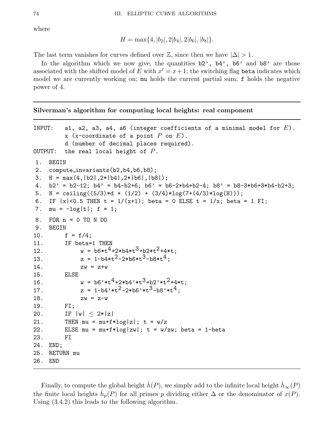where

 $H = \max\{4, |b_2|, 2|b_4|, 2|b_6|, |b_8|\}.$ 

The last term vanishes for curves defined over  $\mathbb{Z}$ , since then we have  $|\Delta| > 1$ .

In the algorithm which we now give, the quantities  $b2'$ ,  $b4'$ ,  $b6'$  and  $b8'$  are those associated with the shifted model of E with  $x' = x + 1$ ; the switching flag beta indicates which model we are currently working on; mu holds the current partial sum; f holds the negative power of 4.

Silverman's algorithm for computing local heights: real component

```
INPUT: a1, a2, a3, a4, a6 (integer coefficients of a minimal model for E).
         x (x-coordinate of a point P on E).
         d (number of decimal places required).
OUTPUT: the real local height of P.
1. BEGIN
2. compute invariants(b2,b4,b6,b8);
3. H = max(4,|b2|,2*|b4|,2*|b6|,|b8|);
4. b2' = b2-12; b4' = b4-b2+6; b6' = b6-2*b4+b2-4; b8' = b8-3*b6+3*b4-b2+3;
5. N = \text{ceiling}((5/3)*d + (1/2) + (3/4)*log(7+(4/3)*log(H)));
6. IF |x| < 0.5 THEN t = 1/(x+1); beta = 0 ELSE t = 1/x; beta = 1 FI;
7. mu = -\log|t|; f = 1;
8. FOR n = 0 TO N DO
9. BEGIN
10. f = f/4;
11. IF beta=1 THEN
12. w = b6*t^4+2*b4*t^3+b2*t^2+4*t;13. z = 1-b4*t^2-2*b6*t^3-b8*t^4;
14. ZW = Z+W15. ELSE
16. w = b6' * t^4 + 2 * b4' * t^3 + b2' * t^2 + 4 * t;17. z = 1-b4' * t^2 - 2 * b6' * t^3 - b8' * t^4;
18. zw = z-w19. FI;
20. IF |w| \le 2*|z|<br>21. THEN mu = mu+f;
         THEN mu = mu+f * log|z|; t = w/z22. ELSE mu = mu+f*log|zw|; t = w/zw; beta = 1-beta
23. FI
24. END;
25. RETURN mu
26. END
```
Finally, to compute the global height  $h(P)$ , we simply add to the infinite local height  $h_{\infty}(P)$ the finite local heights  $\hat{h}_p(P)$  for all primes p dividing either  $\Delta$  or the denominator of  $x(P)$ . Using (3.4.2) this leads to the following algorithm.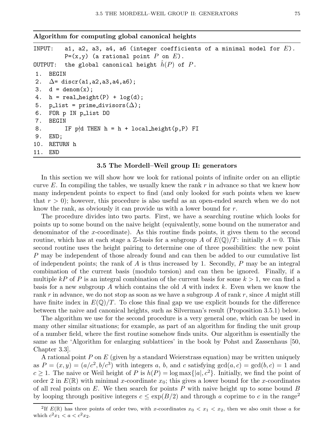Algorithm for computing global canonical heights

```
INPUT: a1, a2, a3, a4, a6 (integer coefficients of a minimal model for E).
         P=(x,y) (a rational point P on E).
OUTPUT: the global canonical height h(P) of P.
1. BEGIN
2. \Delta= discr(a1,a2,a3,a4,a6);
3. d = \text{denom}(x);
4. h = \text{real\_height}(P) + \log(d);
5. p_list = prime_divisors(\Delta);
6. FOR p IN p list DO
7. BEGIN
8. IF p/d THEN h = h + local \nleq h (p, P) FI
9. END;
10. RETURN h
11. END
```
# 3.5 The Mordell–Weil group II: generators

In this section we will show how we look for rational points of infinite order on an elliptic curve E. In compiling the tables, we usually knew the rank  $r$  in advance so that we knew how many independent points to expect to find (and only looked for such points when we knew that  $r > 0$ ; however, this procedure is also useful as an open-ended search when we do not know the rank, as obviously it can provide us with a lower bound for r.

The procedure divides into two parts. First, we have a searching routine which looks for points up to some bound on the naive height (equivalently, some bound on the numerator and denominator of the x-coordinate). As this routine finds points, it gives them to the second routine, which has at each stage a Z-basis for a subgroup A of  $E(\mathbb{Q})/T$ : initially  $A = 0$ . This second routine uses the height pairing to determine one of three possibilities: the new point P may be independent of those already found and can then be added to our cumulative list of independent points; the rank of  $A$  is thus increased by 1. Secondly,  $P$  may be an integral combination of the current basis (modulo torsion) and can then be ignored. Finally, if a multiple kP of P is an integral combination of the current basis for some  $k > 1$ , we can find a basis for a new subgroup A which contains the old A with index k. Even when we know the rank r in advance, we do not stop as soon as we have a subgroup A of rank r, since A might still have finite index in  $E(\mathbb{Q})/T$ . To close this final gap we use explicit bounds for the difference between the naive and canonical heights, such as Silverman's result (Proposition 3.5.1) below.

The algorithm we use for the second procedure is a very general one, which can be used in many other similar situations; for example, as part of an algorithm for finding the unit group of a number field, where the first routine somehow finds units. Our algorithm is essentially the same as the 'Algorithm for enlarging sublattices' in the book by Pohst and Zassenhaus [50, Chapter 3.3].

A rational point P on  $E$  (given by a standard Weierstrass equation) may be written uniquely as  $P = (x, y) = (a/c^2, b/c^3)$  with integers a, b, and c satisfying  $gcd(a, c) = gcd(b, c) = 1$  and  $c \geq 1$ . The naive or Weil height of P is  $h(P) = \log \max\{|a|, c^2\}$ . Initially, we find the point of order 2 in  $E(\mathbb{R})$  with minimal x-coordinate  $x_0$ ; this gives a lower bound for the x-coordinates of all real points on E. We then search for points P with naive height up to some bound B by looping through positive integers  $c \leq \exp(B/2)$  and through a coprime to c in the range<sup>2</sup>

<sup>&</sup>lt;sup>2</sup>If  $E(\mathbb{R})$  has three points of order two, with x-coordinates  $x_0 < x_1 < x_2$ , then we also omit those a for which  $c^2x_1 < a < c^2x_2$ .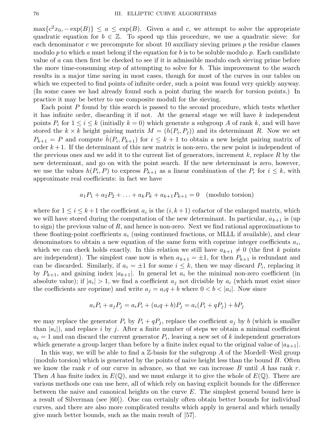$\max\{c^2x_0, -\exp(B)\}\leq a \leq \exp(B)$ . Given a and c, we attempt to solve the appropriate quadratic equation for  $b \in \mathbb{Z}$ . To speed up this procedure, we use a quadratic sieve: for each denominator c we precompute for about 10 auxiliary sieving primes  $p$  the residue classes modulo p to which a must belong if the equation for b is to be soluble modulo p. Each candidate value of a can then first be checked to see if it is admissible modulo each sieving prime before the more time-consuming step of attempting to solve for  $b$ . This improvement to the search results in a major time saving in most cases, though for most of the curves in our tables on which we expected to find points of infinite order, such a point was found very quickly anyway. (In some cases we had already found such a point during the search for torsion points.) In practice it may be better to use composite moduli for the sieving.

Each point  $P$  found by this search is passed to the second procedure, which tests whether it has infinite order, discarding it if not. At the general stage we will have  $k$  independent points  $P_i$  for  $1 \le i \le k$  (initially  $k = 0$ ) which generate a subgroup A of rank k, and will have stored the  $k \times k$  height pairing matrix  $M = (h(P_i, P_j))$  and its determinant R. Now we set  $P_{k+1} = P$  and compute  $\hat{h}(P_i, P_{k+1})$  for  $i \leq k+1$  to obtain a new height pairing matrix of order  $k+1$ . If the determinant of this new matrix is non-zero, the new point is independent of the previous ones and we add it to the current list of generators, increment  $k$ , replace  $R$  by the new determinant, and go on with the point search. If the new determinant is zero, however, we use the values  $h(P_i, P)$  to express  $P_{k+1}$  as a linear combination of the  $P_i$  for  $i \leq k$ , with approximate real coefficients: in fact we have

$$
a_1P_1 + a_2P_2 + ... + a_kP_k + a_{k+1}P_{k+1} = 0
$$
 (modulo torsion)

where for  $1 \leq i \leq k+1$  the coefficient  $a_i$  is the  $(i, k+1)$  cofactor of the enlarged matrix, which we will have stored during the computation of the new determinant. In particular,  $a_{k+1}$  is (up to sign) the previous value of  $R$ , and hence is non-zero. Next we find rational approximations to these floating-point coefficients  $a_i$  (using continued fractions, or MLLL if available), and clear denominators to obtain a new equation of the same form with coprime integer coefficients  $a_i$ , which we can check holds exactly. In this relation we still have  $a_{k+1} \neq 0$  (the first k points are independent). The simplest case now is when  $a_{k+1} = \pm 1$ , for then  $P_{k+1}$  is redundant and can be discarded. Similarly, if  $a_i = \pm 1$  for some  $i \leq k$ , then we may discard  $P_i$ , replacing it by  $P_{k+1}$ , and gaining index  $|a_{k+1}|$ . In general let  $a_i$  be the minimal non-zero coefficient (in absolute value); if  $|a_i| > 1$ , we find a coefficient  $a_j$  not divisible by  $a_i$  (which must exist since the coefficients are coprime) and write  $a_j = a_i q + b$  where  $0 < b < |a_i|$ . Now since

$$
a_i P_i + a_j P_j = a_i P_i + (a_i q + b) P_j = a_i (P_i + q P_j) + b P_j
$$

we may replace the generator  $P_i$  by  $P_i + qP_j$ , replace the coefficient  $a_j$  by b (which is smaller than  $|a_i|$ , and replace i by j. After a finite number of steps we obtain a minimal coefficient  $a_i = 1$  and can discard the current generator  $P_i$ , leaving a new set of k independent generators which generate a group larger than before by a finite index equal to the original value of  $|a_{k+1}|$ .

In this way, we will be able to find a  $\mathbb{Z}$ -basis for the subgroup A of the Mordell–Weil group (modulo torsion) which is generated by the points of naive height less than the bound B. Often we know the rank r of our curve in advance, so that we can increase  $B$  until  $A$  has rank  $r$ . Then A has finite index in  $E(\mathbb{Q})$ , and we must enlarge it to give the whole of  $E(\mathbb{Q})$ . There are various methods one can use here, all of which rely on having explicit bounds for the difference between the naive and canonical heights on the curve  $E$ . The simplest general bound here is a result of Silverman (see [60]). One can certainly often obtain better bounds for individual curves, and there are also more complicated results which apply in general and which usually give much better bounds, such as the main result of [57].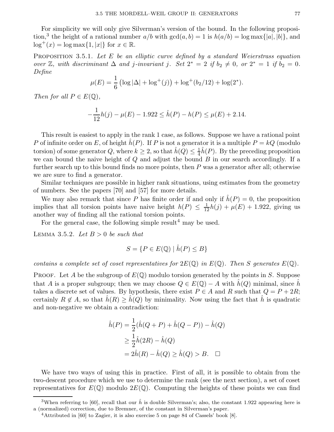For simplicity we will only give Silverman's version of the bound. In the following proposition,<sup>3</sup> the height of a rational number  $a/b$  with  $gcd(a, b) = 1$  is  $h(a/b) = log max\{|a|, |b|\}$ , and  $\log^+(x) = \log \max\{1, |x|\}$  for  $x \in \mathbb{R}$ .

**PROPOSITION** 3.5.1. Let  $E$  be an elliptic curve defined by a standard Weierstrass equation over  $\mathbb{Z}$ , with discriminant  $\Delta$  and j-invariant j. Set  $2^* = 2$  if  $b_2 \neq 0$ , or  $2^* = 1$  if  $b_2 = 0$ . Define

$$
\mu(E) = \frac{1}{6} \left( \log |\Delta| + \log^+(j) \right) + \log^+(b_2/12) + \log(2^*).
$$

Then for all  $P \in E(\mathbb{Q}),$ 

$$
-\frac{1}{12}h(j) - \mu(E) - 1.922 \le \hat{h}(P) - h(P) \le \mu(E) + 2.14.
$$

This result is easiest to apply in the rank 1 case, as follows. Suppose we have a rational point P of infinite order on E, of height  $h(P)$ . If P is not a generator it is a multiple  $P = kQ$  (modulo torsion) of some generator Q, where  $k \geq 2$ , so that  $\hat{h}(Q) \leq \frac{1}{4}$  $\frac{1}{4}\hat{h}(P)$ . By the preceding proposition we can bound the naive height of  $Q$  and adjust the bound  $B$  in our search accordingly. If a further search up to this bound finds no more points, then  $P$  was a generator after all; otherwise we are sure to find a generator.

Similar techniques are possible in higher rank situations, using estimates from the geometry of numbers. See the papers [70] and [57] for more details.

We may also remark that since P has finite order if and only if  $\hat{h}(P) = 0$ , the proposition implies that all torsion points have naive height  $h(P) \leq \frac{1}{12}h(j) + \mu(E) + 1.922$ , giving us another way of finding all the rational torsion points.

For the general case, the following simple result<sup>4</sup> may be used.

LEMMA 3.5.2. Let  $B > 0$  be such that

$$
S = \{ P \in E(\mathbb{Q}) \mid \hat{h}(P) \le B \}
$$

contains a complete set of coset representatives for  $2E(\mathbb{Q})$  in  $E(\mathbb{Q})$ . Then S generates  $E(\mathbb{Q})$ .

PROOF. Let A be the subgroup of  $E(\mathbb{Q})$  modulo torsion generated by the points in S. Suppose that A is a proper subgroup; then we may choose  $Q \in E(\mathbb{Q}) - A$  with  $h(Q)$  minimal, since h takes a discrete set of values. By hypothesis, there exist  $P \in A$  and R such that  $Q = P + 2R$ ; certainly  $R \notin A$ , so that  $\hat{h}(R) \geq \hat{h}(Q)$  by minimality. Now using the fact that  $\hat{h}$  is quadratic and non-negative we obtain a contradiction:

$$
\hat{h}(P) = \frac{1}{2}(\hat{h}(Q+P) + \hat{h}(Q-P)) - \hat{h}(Q)
$$
  
\n
$$
\geq \frac{1}{2}\hat{h}(2R) - \hat{h}(Q)
$$
  
\n
$$
= 2\hat{h}(R) - \hat{h}(Q) \geq \hat{h}(Q) > B. \quad \Box
$$

We have two ways of using this in practice. First of all, it is possible to obtain from the two-descent procedure which we use to determine the rank (see the next section), a set of coset representatives for  $E(\mathbb{Q})$  modulo  $2E(\mathbb{Q})$ . Computing the heights of these points we can find

<sup>&</sup>lt;sup>3</sup>When referring to [60], recall that our  $\hat{h}$  is double Silverman's; also, the constant 1.922 appearing here is a (normalized) correction, due to Bremner, of the constant in Silverman's paper.

<sup>&</sup>lt;sup>4</sup>Attributed in [60] to Zagier, it is also exercise 5 on page 84 of Cassels' book [8].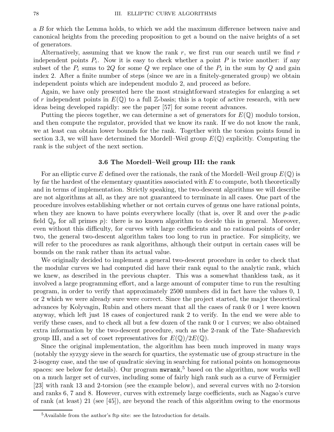a B for which the Lemma holds, to which we add the maximum difference between naive and canonical heights from the preceding proposition to get a bound on the naive heights of a set of generators.

Alternatively, assuming that we know the rank  $r$ , we first run our search until we find  $r$ independent points  $P_i$ . Now it is easy to check whether a point P is twice another: if any subset of the  $P_i$  sums to 2Q for some Q we replace one of the  $P_i$  in the sum by Q and gain index 2. After a finite number of steps (since we are in a finitely-generated group) we obtain independent points which are independent modulo 2, and proceed as before.

Again, we have only presented here the most straightforward strategies for enlarging a set of r independent points in  $E(\mathbb{Q})$  to a full Z-basis; this is a topic of active research, with new ideas being developed rapidly: see the paper [57] for some recent advances.

Putting the pieces together, we can determine a set of generators for  $E(\mathbb{Q})$  modulo torsion, and then compute the regulator, provided that we know its rank. If we do not know the rank, we at least can obtain lower bounds for the rank. Together with the torsion points found in section 3.3, we will have determined the Mordell–Weil group  $E(\mathbb{Q})$  explicitly. Computing the rank is the subject of the next section.

### 3.6 The Mordell–Weil group III: the rank

For an elliptic curve E defined over the rationals, the rank of the Mordell–Weil group  $E(\mathbb{Q})$  is by far the hardest of the elementary quantities associated with  $E$  to compute, both theoretically and in terms of implementation. Strictly speaking, the two-descent algorithms we will describe are not algorithms at all, as they are not guaranteed to terminate in all cases. One part of the procedure involves establishing whether or not certain curves of genus one have rational points, when they are known to have points everywhere locally (that is, over  $\mathbb R$  and over the p-adic field  $\mathbb{Q}_p$  for all primes p): there is no known algorithm to decide this in general. Moreover, even without this difficulty, for curves with large coefficients and no rational points of order two, the general two-descent algorithm takes too long to run in practice. For simplicity, we will refer to the procedures as rank algorithms, although their output in certain cases will be bounds on the rank rather than its actual value.

We originally decided to implement a general two-descent procedure in order to check that the modular curves we had computed did have their rank equal to the analytic rank, which we knew, as described in the previous chapter. This was a somewhat thankless task, as it involved a large programming effort, and a large amount of computer time to run the resulting program, in order to verify that approximately 2500 numbers did in fact have the values 0, 1 or 2 which we were already sure were correct. Since the project started, the major theoretical advances by Kolyvagin, Rubin and others meant that all the cases of rank 0 or 1 were known anyway, which left just 18 cases of conjectured rank 2 to verify. In the end we were able to verify these cases, and to check all but a few dozen of the rank 0 or 1 curves; we also obtained extra information by the two-descent procedure, such as the 2-rank of the Tate–Shafarevich group III, and a set of coset representatives for  $E(\mathbb{Q})/2E(\mathbb{Q})$ .

Since the original implementation, the algorithm has been much improved in many ways (notably the syzygy sieve in the search for quartics, the systematic use of group structure in the 2-isogeny case, and the use of quadratic sieving in searching for rational points on homogeneous spaces: see below for details). Our program  $m$ wrank,<sup>5</sup> based on the algorithm, now works well on a much larger set of curves, including some of fairly high rank such as a curve of Fermigier [23] with rank 13 and 2-torsion (see the example below), and several curves with no 2-torsion and ranks 6, 7 and 8. However, curves with extremely large coefficients, such as Nagao's curve of rank (at least) 21 (see [45]), are beyond the reach of this algorithm owing to the enormous

<sup>5</sup>Available from the author's ftp site: see the Introduction for details.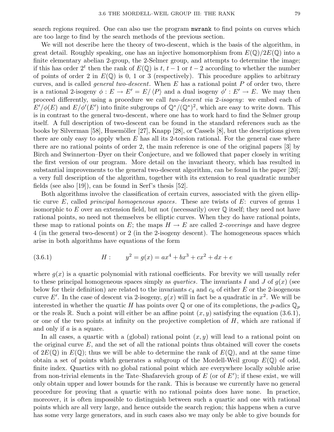search regions required. One can also use the program mwrank to find points on curves which are too large to find by the search methods of the previous section.

We will not describe here the theory of two-descent, which is the basis of the algorithm, in great detail. Roughly speaking, one has an injective homomorphism from  $E(\mathbb{Q})/2E(\mathbb{Q})$  into a finite elementary abelian 2-group, the 2-Selmer group, and attempts to determine the image; if this has order  $2^t$  then the rank of  $E(\mathbb{Q})$  is t,  $t-1$  or  $t-2$  according to whether the number of points of order 2 in  $E(\mathbb{Q})$  is 0, 1 or 3 (respectively). This procedure applies to arbitrary curves, and is called *general two-descent*. When  $E$  has a rational point  $P$  of order two, there is a rational 2-isogeny  $\phi: E \to E' = E/\langle P \rangle$  and a dual isogeny  $\phi': E' \to E$ . We may then proceed differently, using a procedure we call two-descent via 2-isogeny: we embed each of  $E'/\phi(E)$  and  $E/\phi'(E')$  into finite subgroups of  $\mathbb{Q}^*/(\mathbb{Q}^*)^2$ , which are easy to write down. This is in contrast to the general two-descent, where one has to work hard to find the Selmer group itself. A full description of two-descent can be found in the standard references such as the books by Silverman [58], Husemöller [27], Knapp [28], or Cassels [8], but the descriptions given there are only easy to apply when  $E$  has all its 2-torsion rational. For the general case where there are no rational points of order 2, the main reference is one of the original papers [3] by Birch and Swinnerton–Dyer on their Conjecture, and we followed that paper closely in writing the first version of our program. More detail on the invariant theory, which has resulted in substantial improvements to the general two-descent algorithm, can be found in the paper [20]; a very full description of the algorithm, together with its extension to real quadratic number fields (see also [19]), can be found in Serf's thesis [52].

Both algorithms involve the classification of certain curves, associated with the given elliptic curve  $E$ , called *principal homogeneous spaces*. These are twists of  $E$ : curves of genus 1 isomorphic to E over an extension field, but not (necessarily) over  $\mathbb Q$  itself; they need not have rational points, so need not themselves be elliptic curves. When they do have rational points, these map to rational points on E; the maps  $H \to E$  are called 2-coverings and have degree 4 (in the general two-descent) or 2 (in the 2-isogeny descent). The homogeneous spaces which arise in both algorithms have equations of the form

(3.6.1) 
$$
H: \qquad y^2 = g(x) = ax^4 + bx^3 + cx^2 + dx + e
$$

where  $g(x)$  is a quartic polynomial with rational coefficients. For brevity we will usually refer to these principal homogeneous spaces simply as *quartics*. The invariants I and J of  $g(x)$  (see below for their definition) are related to the invariants  $c_4$  and  $c_6$  of either E or the 2-isogenous curve E'. In the case of descent via 2-isogeny,  $g(x)$  will in fact be a quadratic in  $x^2$ . We will be interested in whether the quartic H has points over Q or one of its completions, the p-adics  $\mathbb{Q}_p$ or the reals R. Such a point will either be an affine point  $(x, y)$  satisfying the equation (3.6.1), or one of the two points at infinity on the projective completion of  $H$ , which are rational if and only if a is a square.

In all cases, a quartic with a (global) rational point  $(x, y)$  will lead to a rational point on the original curve  $E$ , and the set of all the rational points thus obtained will cover the cosets of  $2E(\mathbb{Q})$  in  $E(\mathbb{Q})$ ; thus we will be able to determine the rank of  $E(\mathbb{Q})$ , and at the same time obtain a set of points which generates a subgroup of the Mordell-Weil group  $E(\mathbb{Q})$  of odd, finite index. Quartics with no global rational point which are everywhere locally soluble arise from non-trivial elements in the Tate–Shafarevich group of  $E$  (or of  $E'$ ); if these exist, we will only obtain upper and lower bounds for the rank. This is because we currently have no general procedure for proving that a quartic with no rational points does have none. In practice, moreover, it is often impossible to distinguish between such a quartic and one with rational points which are all very large, and hence outside the search region; this happens when a curve has some very large generators, and in such cases also we may only be able to give bounds for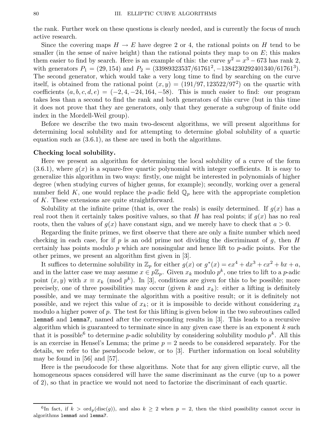the rank. Further work on these questions is clearly needed, and is currently the focus of much active research.

Since the covering maps  $H \to E$  have degree 2 or 4, the rational points on H tend to be smaller (in the sense of naive height) than the rational points they map to on  $E$ ; this makes them easier to find by search. Here is an example of this: the curve  $y^2 = x^3 - 673$  has rank 2, with generators  $P_1 = (29, 154)$  and  $P_2 = (33989323537/61761^2, -1384230292401340/61761^3)$ . The second generator, which would take a very long time to find by searching on the curve itself, is obtained from the rational point  $(x, y) = (191/97, 123522/97^2)$  on the quartic with coefficients  $(a, b, c, d, e) = (-2, 4, -24, 164, -58)$ . This is much easier to find: our program takes less than a second to find the rank and both generators of this curve (but in this time it does not prove that they are generators, only that they generate a subgroup of finite odd index in the Mordell-Weil group).

Before we describe the two main two-descent algorithms, we will present algorithms for determining local solubility and for attempting to determine global solubility of a quartic equation such as (3.6.1), as these are used in both the algorithms.

# Checking local solubility.

Here we present an algorithm for determining the local solubility of a curve of the form  $(3.6.1)$ , where  $g(x)$  is a square-free quartic polynomial with integer coefficients. It is easy to generalize this algorithm in two ways: firstly, one might be interested in polynomials of higher degree (when studying curves of higher genus, for example); secondly, working over a general number field K, one would replace the p-adic field  $\mathbb{Q}_p$  here with the appropriate completion of K. These extensions are quite straightforward.

Solubility at the infinite prime (that is, over the reals) is easily determined. If  $q(x)$  has a real root then it certainly takes positive values, so that H has real points; if  $g(x)$  has no real roots, then the values of  $g(x)$  have constant sign, and we merely have to check that  $a > 0$ .

Regarding the finite primes, we first observe that there are only a finite number which need checking in each case, for if  $p$  is an odd prime not dividing the discriminant of  $q$ , then  $H$ certainly has points modulo  $p$  which are nonsingular and hence lift to  $p$ -adic points. For the other primes, we present an algorithm first given in [3].

It suffices to determine solubility in  $\mathbb{Z}_p$  for either  $g(x)$  or  $g^*(x) = ex^4 + dx^3 + cx^2 + bx + a$ , and in the latter case we may assume  $x \in p\mathbb{Z}_p$ . Given  $x_k$  modulo  $p^k$ , one tries to lift to a p-adic point  $(x, y)$  with  $x \equiv x_k \pmod{p^k}$ . In [3], conditions are given for this to be possible; more precisely, one of three possibilities may occur (given k and  $x_k$ ): either a lifting is definitely possible, and we may terminate the algorithm with a positive result; or it is definitely not possible, and we reject this value of  $x_k$ ; or it is impossible to decide without considering  $x_k$ modulo a higher power of  $p$ . The test for this lifting is given below in the two subroutines called lemma6 and lemma7, named after the corresponding results in [3]. This leads to a recursive algorithm which is guaranteed to terminate since in any given case there is an exponent  $k$  such that it is possible<sup>6</sup> to determine *p*-adic solubility by considering solubility modulo  $p^k$ . All this is an exercise in Hensel's Lemma; the prime  $p = 2$  needs to be considered separately. For the details, we refer to the pseudocode below, or to [3]. Further information on local solubility may be found in [56] and [57].

Here is the pseudocode for these algorithms. Note that for any given elliptic curve, all the homogeneous spaces considered will have the same discriminant as the curve (up to a power of 2), so that in practice we would not need to factorize the discriminant of each quartic.

<sup>&</sup>lt;sup>6</sup>In fact, if  $k > \text{ord}_p(\text{disc}(g))$ , and also  $k \geq 2$  when  $p = 2$ , then the third possibility cannot occur in algorithms lemma6 and lemma7.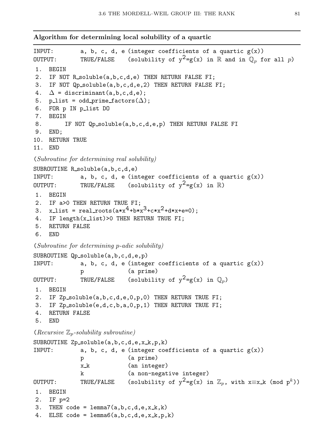Algorithm for determining local solubility of a quartic

```
INPUT: a, b, c, d, e (integer coefficients of a quartic g(x))
OUTPUT: TRUE/FALSE (solubility of y^2=g(x) in \mathbb R and in \mathbb Q_p for all p)
1. BEGIN
2. IF NOT R_soluble(a,b,c,d,e) THEN RETURN FALSE FI;
3. IF NOT Qp soluble(a,b,c,d,e,2) THEN RETURN FALSE FI;
4. \Delta = discriminant(a,b,c,d,e);
5. p_list = odd_prime_factors(\Delta);
6. FOR p IN p list DO
7. BEGIN
8. IF NOT Qp_soluble(a,b,c,d,e,p) THEN RETURN FALSE FI
9. END;
10. RETURN TRUE
11. END
(Subroutine for determining real solubility)
SUBROUTINE R soluble(a, b, c, d, e)INPUT: a, b, c, d, e (integer coefficients of a quartic g(x))
OUTPUT: TRUE/FALSE (solubility of y^2 = g(x) in \mathbb{R})
1. BEGIN
2. IF a>0 THEN RETURN TRUE FI;
3. x_list = real_roots(a*x^4+b*x^3+c*x^2+d*x+e=0);
4. IF length(x_list)>0 THEN RETURN TRUE FI;
5. RETURN FALSE
6. END
(Subroutine for determining p-adic solubility)
SUBROUTINE Qp_soluble(a,b,c,d,e,p)
INPUT: a, b, c, d, e (integer coefficients of a quartic g(x))
             p (a prime)
OUTPUT: TRUE/FALSE (solubility of y^2 = g(x) in \mathbb{Q}_p)
1. BEGIN
2. IF Zp_soluble(a,b,c,d,e,0,p,0) THEN RETURN TRUE FI;
3. IF Zp soluble(e,d,c,b,a,0,p,1) THEN RETURN TRUE FI;
4. RETURN FALSE
5. END
(Recursive \mathbb{Z}_p-solubility subroutine)
SUBROUTINE Zp\_soluble(a,b,c,d,e,x_k,p,k)INPUT: a, b, c, d, e (integer coefficients of a quartic g(x))
             p (a prime)
             x k (an integer)
             k (a non-negative integer)
OUTPUT: TRUE/FALSE (solubility of y^2 = g(x) in \mathbb{Z}_p, with x \equiv x_k \pmod{p^k})
1. BEGIN
2. IF p=2
3. THEN code = lemma7(a,b,c,d,e,x_k,k)4. ELSE code = lemma6(a,b,c,d,e,x_k,p,k)
```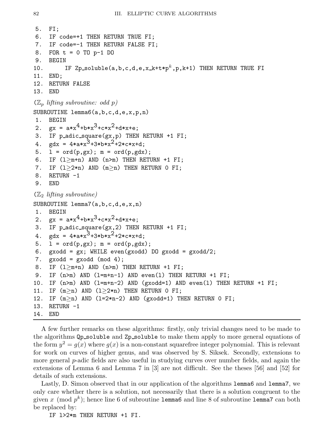```
5. FI;
6. IF code=+1 THEN RETURN TRUE FI;
7. IF code=-1 THEN RETURN FALSE FI;
8. FOR t = 0 TO p-1 DO
9. BEGIN
10. IF Zp_soluble(a,b,c,d,e,x_k+t*p<sup>k</sup>,p,k+1) THEN RETURN TRUE FI
11. END;
12. RETURN FALSE
13. END
(\mathbb{Z}_p lifting subroutine: odd p)
SUBROUTINE lemma6(a,b,c,d,e,x,p,n)
1. BEGIN
2. gx = a*x^4+b*x^3+c*x^2+d*x+e;3. IF p_adic_square(gx,p) THEN RETURN +1 FI;
4. gdx = 4*a*x^3+3*b*x^2+2*c*x+d;5. 1 = \text{ord}(p, gx); m = \text{ord}(p, gdx);
6. IF (1\geqm+n) AND (n>m) THEN RETURN +1 FI;<br>7. IF (1>2*n) AND (m>n) THEN RETURN 0 FI;
7. IF (1\geq2*n) AND (m\geqn) THEN RETURN 0 FI;<br>8. RETURN -1
     RETURN -19. END
(\mathbb{Z}_2 lifting subroutine)
SUBROUTINE lemma7(a,b,c,d,e,x,n)
1. BEGIN
2. gx = a*x^4 + b*x^3 + c*x^2 + d*x + e;
3. IF p_adic_square(gx,2) THEN RETURN +1 FI;
4. gdx = 4*ax^3+3*b*x^2+2*c*x+d;5. 1 = \text{ord}(p, gx); m = \text{ord}(p, gdx);
6. gxodd = gx; WHILE even(gxodd) DO gxodd = gxodd/2;
7. gxodd = gxodd (mod 4);8. IF (1 \geq m+n) AND (n>m) THEN RETURN +1 FI;<br>9. IF (n>m) AND (1=m+n-1) AND even(1) THEN
    IF (n>m) AND (l=m+n-1) AND even(1) THEN RETURN +1 FI;
10. IF (n>m) AND (l=m+n-2) AND (gxodd=1) AND even(l) THEN RETURN +1 FI;
11. IF (m \ge n) AND (1 \ge 2*n) THEN RETURN OFI;
12. IF (m≥n) AND (1=2*n-2) AND (gxodd=1) THEN RETURN O FI;<br>13. RETURN -1
    RETURN -1
14. END
```
A few further remarks on these algorithms: firstly, only trivial changes need to be made to the algorithms Qp\_soluble and Zp\_soluble to make them apply to more general equations of the form  $y^2 = g(x)$  where  $g(x)$  is a non-constant squarefree integer polynomial. This is relevant for work on curves of higher genus, and was observed by S. Siksek. Secondly, extensions to more general  $p$ -adic fields are also useful in studying curves over number fields, and again the extensions of Lemma 6 and Lemma 7 in [3] are not difficult. See the theses [56] and [52] for details of such extensions.

Lastly, D. Simon observed that in our application of the algorithms lemma6 and lemma7, we only care whether there is a solution, not necessarily that there is a solution congruent to the given  $x \pmod{p^k}$ ; hence line 6 of subroutine lemma6 and line 8 of subroutine lemma7 can both be replaced by:

IF l>2\*m THEN RETURN +1 FI.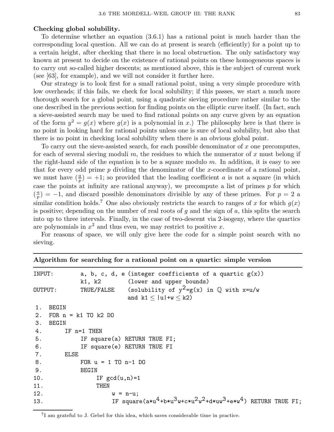# Checking global solubility.

To determine whether an equation (3.6.1) has a rational point is much harder than the corresponding local question. All we can do at present is search (efficiently) for a point up to a certain height, after checking that there is no local obstruction. The only satisfactory way known at present to decide on the existence of rational points on these homogeneous spaces is to carry out so-called higher descents; as mentioned above, this is the subject of current work (see [63], for example), and we will not consider it further here.

Our strategy is to look first for a small rational point, using a very simple procedure with low overheads; if this fails, we check for local solubility; if this passes, we start a much more thorough search for a global point, using a quadratic sieving procedure rather similar to the one described in the previous section for finding points on the elliptic curve itself. (In fact, such a sieve-assisted search may be used to find rational points on any curve given by an equation of the form  $y^2 = g(x)$  where  $g(x)$  is a polynomial in x.) The philosophy here is that there is no point in looking hard for rational points unless one is sure of local solubility, but also that there is no point in checking local solubility when there is an obvious global point.

To carry out the sieve-assisted search, for each possible denominator of  $x$  one precomputes, for each of several sieving moduli m, the residues to which the numerator of x must belong if the right-hand side of the equation is to be a square modulo  $m$ . In addition, it is easy to see that for every odd prime  $p$  dividing the denominator of the x-coordinate of a rational point, we must have  $\left(\frac{a}{n}\right)$  $\frac{a}{p}$ ) = +1; so provided that the leading coefficient a is not a square (in which case the points at infinity are rational anyway), we precompute a list of primes  $p$  for which  $\left(\frac{a}{n}\right)$  $\frac{a}{p}$ ) = -1, and discard possible denominators divisible by any of these primes. For  $p = 2$  a similar condition holds.<sup>7</sup> One also obviously restricts the search to ranges of x for which  $g(x)$ is positive; depending on the number of real roots of q and the sign of  $a$ , this splits the search into up to three intervals. Finally, in the case of two-descent via 2-isogeny, where the quartics are polynomials in  $x^2$  and thus even, we may restrict to positive x.

For reasons of space, we will only give here the code for a simple point search with no sieving.

### Algorithm for searching for a rational point on a quartic: simple version

```
INPUT: a, b, c, d, e (integer coefficients of a quartic g(x))
           k1, k2 (lower and upper bounds)
OUTPUT: TRUE/FALSE (solubility of y^2 = g(x) in \mathbb Q with x=u/w
                      and k1 < |u| + w < k2)
1. BEGIN
2. FOR n = k1 TO k2 DO
3. BEGIN
4. IF n=1 THEN
5. IF square(a) RETURN TRUE FI;
6. IF square(e) RETURN TRUE FI
7. ELSE
8. FOR u = 1 TO n-1 DO
9. BEGIN
10. IF gcd(u, n) = 111. THEN
12. w = n-u;
13. IF square(a*u^4+b*u^3w+c*u^2w^2+d*uw^3+e*w^4) RETURN TRUE FI;
```
<sup>7</sup> I am grateful to J. Gebel for this idea, which saves considerable time in practice.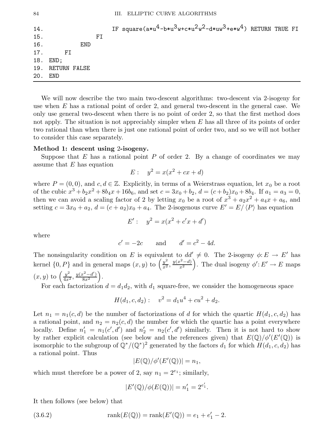| 14. |                  |    | IF square $(a*u4-b*u3w+c*u2w2-d*uw3+e*w4)$ RETURN TRUE FI |  |  |
|-----|------------------|----|-----------------------------------------------------------|--|--|
| 15. |                  | FI |                                                           |  |  |
| 16. | <b>END</b>       |    |                                                           |  |  |
| 17. | FI               |    |                                                           |  |  |
| 18. | END;             |    |                                                           |  |  |
|     | 19. RETURN FALSE |    |                                                           |  |  |
| 20. | <b>END</b>       |    |                                                           |  |  |

We will now describe the two main two-descent algorithms: two-descent via 2-isogeny for use when E has a rational point of order 2, and general two-descent in the general case. We only use general two-descent when there is no point of order 2, so that the first method does not apply. The situation is not appreciably simpler when  $E$  has all three of its points of order two rational than when there is just one rational point of order two, and so we will not bother to consider this case separately.

#### Method 1: descent using 2-isogeny.

Suppose that  $E$  has a rational point  $P$  of order 2. By a change of coordinates we may assume that  $E$  has equation

$$
E: \quad y^2 = x(x^2 + cx + d)
$$

where  $P = (0, 0)$ , and  $c, d \in \mathbb{Z}$ . Explicitly, in terms of a Weierstrass equation, let  $x_0$  be a root of the cubic  $x^3 + b_2x^2 + 8b_4x + 16b_6$ , and set  $c = 3x_0 + b_2$ ,  $d = (c + b_2)x_0 + 8b_4$ . If  $a_1 = a_3 = 0$ , then we can avoid a scaling factor of 2 by letting  $x_0$  be a root of  $x^3 + a_2x^2 + a_4x + a_6$ , and setting  $c = 3x_0 + a_2$ ,  $d = (c + a_2)x_0 + a_4$ . The 2-isogenous curve  $E' = E/P$  has equation

$$
E': y^2 = x(x^2 + c'x + d')
$$

where

$$
c' = -2c \qquad \text{and} \qquad d' = c^2 - 4d.
$$

The nonsingularity condition on E is equivalent to  $dd' \neq 0$ . The 2-isogeny  $\phi: E \to E'$  has kernel  $\{0, P\}$  and in general maps  $(x, y)$  to  $\left(\frac{y^2}{x^2}, \frac{y(x^2-d)}{x^2}\right)$  $\frac{x^2-d}{x^2}$ ). The dual isogeny  $\phi' : E' \to E$  maps  $(x, y)$  to  $\left(\frac{y^2}{4x^2}, \frac{y(x^2-d')}{8x^2}\right)$ .

For each factorization  $d = d_1 d_2$ , with  $d_1$  square-free, we consider the homogeneous space

$$
H(d_1, c, d_2): \quad v^2 = d_1 u^4 + c u^2 + d_2.
$$

Let  $n_1 = n_1(c, d)$  be the number of factorizations of d for which the quartic  $H(d_1, c, d_2)$  has a rational point, and  $n_2 = n_2(c, d)$  the number for which the quartic has a point everywhere locally. Define  $n'_1 = n_1(c', d')$  and  $n'_2 = n_2(c', d')$  similarly. Then it is not hard to show by rather explicit calculation (see below and the references given) that  $E(\mathbb{Q})/\phi'(E'(\mathbb{Q}))$  is isomorphic to the subgroup of  $\mathbb{Q}^*/(\mathbb{Q}^*)^2$  generated by the factors  $d_1$  for which  $H(d_1, c, d_2)$  has a rational point. Thus

$$
|E(\mathbb{Q})/\phi'(E'(\mathbb{Q}))|=n_1,
$$

which must therefore be a power of 2, say  $n_1 = 2^{e_1}$ ; similarly,

$$
|E'(\mathbb{Q})/\phi(E(\mathbb{Q}))|=n_1'=2^{e_1'}.
$$

It then follows (see below) that

(3.6.2) 
$$
rank(E(\mathbb{Q})) = rank(E'(\mathbb{Q})) = e_1 + e'_1 - 2.
$$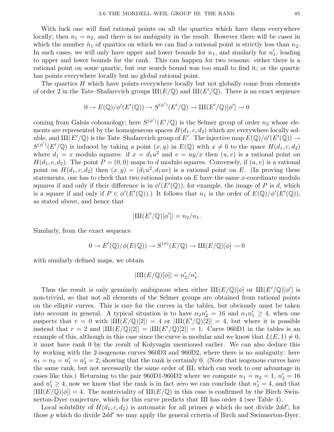With luck one will find rational points on all the quartics which have them everywhere locally; then  $n_1 = n_2$ , and there is no ambiguity in the result. However there will be cases in which the number  $\tilde{n}_1$  of quartics on which we can find a rational point is strictly less than  $n_2$ . In such cases, we will only have upper and lower bounds for  $n_1$ , and similarly for  $n'_1$ , leading to upper and lower bounds for the rank. This can happen for two reasons: either there is a rational point on some quartic, but our search bound was too small to find it; or the quartic has points everywhere locally but no global rational point.

The quartics  $H$  which have points everywhere locally but not globally come from elements of order 2 in the Tate–Shafarevich groups  $III(E/\mathbb{Q})$  and  $III(E'/\mathbb{Q})$ . There is an exact sequence

$$
0 \to E(\mathbb{Q})/\phi'(E'(\mathbb{Q})) \to S^{(\phi')}(E'/\mathbb{Q}) \to \mathrm{III}(E'/\mathbb{Q})[\phi'] \to 0
$$

coming from Galois cohomology; here  $S^{(\phi')}(E' / \mathbb{Q})$  is the Selmer group of order  $n_2$  whose elements are represented by the homogeneous spaces  $H(d_1, c, d_2)$  which are everywhere locally soluble, and  $III(E' / Q)$  is the Tate–Shafarevich group of E'. The injective map  $E(Q) / \phi'(E'(Q)) \to$  $S^{(\phi')}(E' / \mathbb{Q})$  is induced by taking a point  $(x, y)$  in  $E(\mathbb{Q})$  with  $x \neq 0$  to the space  $H(d_1, c, d_2)$ where  $d_1 = x$  modulo squares: if  $x = d_1u^2$  and  $v = uy/x$  then  $(u, v)$  is a rational point on  $H(d_1, c, d_2)$ . The point  $P = (0, 0)$  maps to d modulo squares. Conversely, if  $(u, v)$  is a rational point on  $H(d_1, c, d_2)$  then  $(x, y) = (d_1u^2, d_1uv)$  is a rational point on E. (In proving these statements, one has to check that two rational points on  $E$  have the same x-coordinate modulo squares if and only if their difference is in  $\phi'(E'(\mathbb{Q}))$ ; for example, the image of P is d, which is a square if and only if  $P \in \phi'(E'(\mathbb{Q}))$ .) It follows that  $n_1$  is the order of  $E(\mathbb{Q})/\phi'(E'(\mathbb{Q}))$ , as stated above, and hence that

$$
|\amalg (E'/\mathbb{Q})[\phi']| = n_2/n_1.
$$

Similarly, from the exact sequence

$$
0 \to E'(\mathbb{Q})/\phi(E(\mathbb{Q})) \to S^{(\phi)}(E/\mathbb{Q}) \to \mathrm{III}(E/\mathbb{Q})[\phi] \to 0
$$

with similarly defined maps, we obtain

$$
|\mathrm{III}(E/\mathbb{Q})[\phi]|=n_2'/n_1'.
$$

Thus the result is only genuinely ambiguous when either  $III(E/\mathbb{Q})[\phi]$  or  $III(E'/\mathbb{Q})[\phi']$  is non-trivial, so that not all elements of the Selmer groups are obtained from rational points on the elliptic curves. This is rare for the curves in the tables, but obviously must be taken into account in general. A typical situation is to have  $n_2 n_2' = 16$  and  $n_1 n_1' \ge 4$ , when one suspects that  $r = 0$  with  $|\text{III}(E/\mathbb{Q})[2]| = 4$  or  $|\text{III}(E'/\mathbb{Q})[2]| = 4$ , but where it is possible instead that  $r = 2$  and  $|\text{III}(E/\mathbb{Q})[2]| = |\text{III}(E'/\mathbb{Q})[2]| = 1$ . Curve 960D1 in the tables is an example of this, although in this case since the curve is modular and we know that  $L(E, 1) \neq 0$ , it must have rank 0 by the result of Kolyvagin mentioned earlier. We can also deduce this by working with the 2-isogenous curves 960D3 and 960D2, where there is no ambiguity: here  $n_1 = n_2 = n'_1 = n'_2 = 2$ , showing that the rank is certainly 0. (Note that isogenous curves have the same rank, but not necessarily the same order of III, which can work to our advantage in cases like this.) Returning to the pair 960D1-960D2 where we compute  $n_1 = n_2 = 1$ ,  $n'_2 = 16$ and  $n'_1 \geq 4$ , now we know that the rank is in fact zero we can conclude that  $n'_1 = 4$ , and that  $|\text{III}(E/\mathbb{Q})[\phi]| = 4.$  The nontriviality of  $\text{III}(E/\mathbb{Q})$  in this case is confirmed by the Birch–Swinnerton-Dyer conjecture, which for this curve predicts that  $III$  has order 4 (see Table 4).

Local solubility of  $H(d_1, c, d_2)$  is automatic for all primes p which do not divide  $2dd'$ ; for those  $p$  which do divide  $2dd'$  we may apply the general criteria of Birch and Swinnerton-Dyer.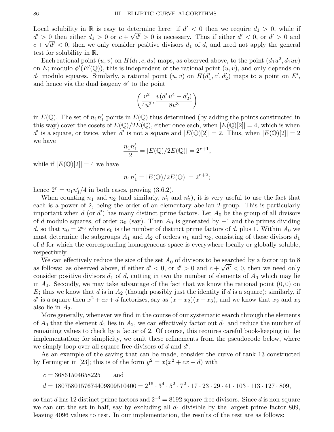Local solubility in  $\mathbb R$  is easy to determine here: if  $d' < 0$  then we require  $d_1 > 0$ , while if  $d' > 0$  then either  $d_1 > 0$  or  $c + \sqrt{d'} > 0$  is necessary. Thus if either  $d' < 0$ , or  $d' > 0$  and  $c + \sqrt{d'} < 0$ , then we only consider positive divisors  $d_1$  of d, and need not apply the general test for solubility in R.

Each rational point  $(u, v)$  on  $H(d_1, c, d_2)$  maps, as observed above, to the point  $(d_1u^2, d_1uv)$ on E; modulo  $\phi'(E'(\mathbb{Q}))$ , this is independent of the rational point  $(u, v)$ , and only depends on  $d_1$  modulo squares. Similarly, a rational point  $(u, v)$  on  $H(d'_1, c', d'_2)$  maps to a point on  $E'$ , and hence via the dual isogeny  $\phi'$  to the point

$$
\left(\frac{v^2}{4u^2},\frac{v(d_1'u^4-d_2')}{8u^3}\right)
$$

in  $E(\mathbb{Q})$ . The set of  $n_1n'_1$  points in  $E(\mathbb{Q})$  thus determined (by adding the points constructed in this way) cover the cosets of  $E(\mathbb{Q})/2E(\mathbb{Q})$ , either once each, when  $|E(\mathbb{Q})[2]|=4$ , which is when d' is a square, or twice, when d' is not a square and  $|E(\mathbb{Q})[2]|=2$ . Thus, when  $|E(\mathbb{Q})[2]|=2$ we have

$$
\frac{n_1 n_1'}{2} = |E(\mathbb{Q})/2E(\mathbb{Q})| = 2^{r+1},
$$

while if  $|E(\mathbb{Q})[2]|=4$  we have

$$
n_1 n'_1 = |E(\mathbb{Q})/2E(\mathbb{Q})| = 2^{r+2};
$$

hence  $2^r = n_1 n_1'/4$  in both cases, proving (3.6.2).

When counting  $n_1$  and  $n_2$  (and similarly,  $n'_1$  and  $n'_2$ ), it is very useful to use the fact that each is a power of 2, being the order of an elementary abelian 2-group. This is particularly important when  $d$  (or  $d'$ ) has many distinct prime factors. Let  $A_0$  be the group of all divisors of d modulo squares, of order  $n_0$  (say). Then  $A_0$  is generated by  $-1$  and the primes dividing d, so that  $n_0 = 2^{e_0}$  where  $e_0$  is the number of distinct prime factors of d, plus 1. Within  $A_0$  we must determine the subgroups  $A_1$  and  $A_2$  of orders  $n_1$  and  $n_2$ , consisting of those divisors  $d_1$ of d for which the corresponding homogeneous space is everywhere locally or globally soluble, respectively.

We can effectively reduce the size of the set  $A_0$  of divisors to be searched by a factor up to 8 as follows: as observed above, if either  $d' < 0$ , or  $d' > 0$  and  $c + \sqrt{d'} < 0$ , then we need only consider positive divisors  $d_1$  of d, cutting in two the number of elements of  $A_0$  which may lie in  $A_1$ . Secondly, we may take advantage of the fact that we know the rational point  $(0,0)$  on E; thus we know that d is in  $A_2$  (though possibly just the identity if d is a square); similarly, if d' is a square then  $x^2 + cx + d$  factorizes, say as  $(x - x_2)(x - x_3)$ , and we know that  $x_2$  and  $x_3$ also lie in  $A_2$ .

More generally, whenever we find in the course of our systematic search through the elements of  $A_0$  that the element  $d_1$  lies in  $A_2$ , we can effectively factor out  $d_1$  and reduce the number of remaining values to check by a factor of 2. Of course, this requires careful book-keeping in the implementation; for simplicity, we omit these refinements from the pseudocode below, where we simply loop over all square-free divisors of  $d$  and  $d'$ .

As an example of the saving that can be made, consider the curve of rank 13 constructed by Fermigier in [23]; this is of the form  $y^2 = x(x^2 + cx + d)$  with

$$
c = 36861504658225 \qquad \text{and} \qquad
$$

$$
d = 1807580157674409809510400 = 2^{15} \cdot 3^4 \cdot 5^2 \cdot 7^2 \cdot 17 \cdot 23 \cdot 29 \cdot 41 \cdot 103 \cdot 113 \cdot 127 \cdot 809,
$$

so that d has 12 distinct prime factors and  $2^{13} = 8192$  square-free divisors. Since d is non-square we can cut the set in half, say by excluding all  $d_1$  divisible by the largest prime factor 809, leaving 4096 values to test. In our implementation, the results of the test are as follows: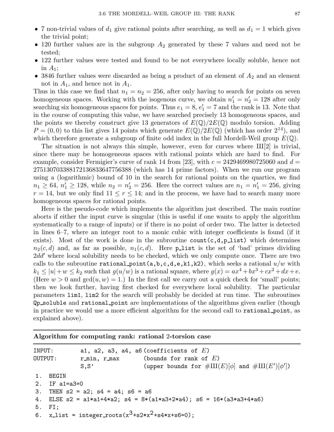- 7 non-trivial values of  $d_1$  give rational points after searching, as well as  $d_1 = 1$  which gives the trivial point;
- 120 further values are in the subgroup  $A_2$  generated by these 7 values and need not be tested;
- 122 further values were tested and found to be not everywhere locally soluble, hence not in  $A_1$ ;
- 3846 further values were discarded as being a product of an element of  $A_2$  and an element not in  $A_1$ , and hence not in  $A_1$ .

Thus in this case we find that  $n_1 = n_2 = 256$ , after only having to search for points on seven homogeneous spaces. Working with the isogenous curve, we obtain  $n'_1 = n'_2 = 128$  after only searching six homogeneous spaces for points. Thus  $e_1 = 8, e_1' = 7$  and the rank is 13. Note that in the course of computing this value, we have searched precisely 13 homogeneous spaces, and the points we thereby construct give 13 generators of  $E(\mathbb{Q})/2E(\mathbb{Q})$  modulo torsion. Adding  $P = (0,0)$  to this list gives 14 points which generate  $E(\mathbb{Q})/2E(\mathbb{Q})$  (which has order  $2^{14}$ ), and which therefore generate a subgroup of finite odd index in the full Mordell-Weil group  $E(\mathbb{Q})$ .

The situation is not always this simple, however, even for curves where  $III[2]$  is trivial, since there may be homogeneous spaces with rational points which are hard to find. For example, consider Fermigier's curve of rank 14 from [23], with  $c = 2429469980725060$  and  $d =$ 275130703388172136833647756388 (which has 14 prime factors). When we run our program using a (logarithmic) bound of 10 in the search for rational points on the quartics, we find  $n_1 \ge 64, n'_1 \ge 128$ , while  $n_2 = n'_2 = 256$ . Here the correct values are  $n_1 = n'_1 = 256$ , giving  $r = 14$ , but we only find  $11 \le r \le 14$ ; and in the process, we have had to search many more homogeneous spaces for rational points.

Here is the pseudo-code which implements the algorithm just described. The main routine aborts if either the input curve is singular (this is useful if one wants to apply the algorithm systematically to a range of inputs) or if there is no point of order two. The latter is detected in lines 6–7, where an integer root to a monic cubic with integer coefficients is found (if it exists). Most of the work is done in the subroutine count( $c, d, p$ list) which determines  $n_2(c, d)$  and, as far as possible,  $n_1(c, d)$ . Here plast is the set of 'bad' primes dividing  $2dd'$  where local solubility needs to be checked, which we only compute once. There are two calls to the subroutine rational point  $(a,b,c,d,e,k1,k2)$ , which seeks a rational  $u/w$  with  $k_1 \leq |u| + w \leq k_2$  such that  $g(u/w)$  is a rational square, where  $g(x) = ax^4 + bx^3 + cx^2 + dx + e$ . (Here  $w > 0$  and  $gcd(u, w) = 1$ .) In the first call we carry out a quick check for 'small' points; then we look further, having first checked for everywhere local solubility. The particular parameters lim1, lim2 for the search will probably be decided at run time. The subroutines Qp soluble and rational point are implementations of the algorithms given earlier (though in practice we would use a more efficient algorithm for the second call to rational point, as explained above).

### Algorithm for computing rank: rational 2-torsion case

```
INPUT: a1, a2, a3, a4, a6 (coefficients of E)
OUTPUT: r_min, r_max (bounds for rank of E)
             S,S' (upper bounds for \#\mathrm{III}(E)[\phi] and \#\mathrm{III}(E')[\phi'])1. BEGIN
2. IF a1=a3=0
3. THEN s2 = a2; s4 = a4; s6 = a6
4. ELSE s2 = a1*a1+4*a2; s4 = 8*(a1*a3+2*a4); s6 = 16*(a3*a3+4*a6)5. FI;
6. x_list = integer_roots(x^3+s2*x^2+s4*x+s6=0);
```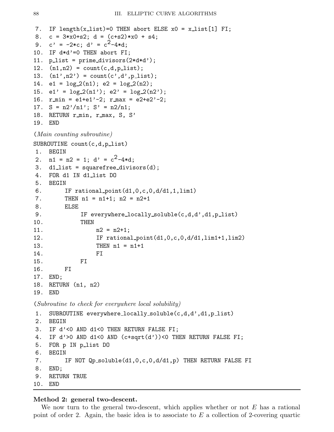```
7. IF length(x list)=0 THEN abort ELSE x0 = x list[1] FI;
8. c = 3*x0+s2; d = (c+s2)*x0 + s4;
9. c' = -2*c; d' = c^2-4*d;
10. IF d*d'=0 THEN abort FI;
11. p_{\text{list}} = p \text{time\_divisors}(2 * d * d');12. (n1, n2) = count(c, d, p\_list);13. (n1',n2') = count(c',d',p\_list);14. e1 = \log_2(n1); e2 = \log_2(n2);
15. e1' = \log_2(n1'); e2' = \log_2(n2');
16. r min = e1+e1'-2; r max = e2+e2'-2;
17. S = n2'/n1; S' = n2/n1;
18. RETURN r min, r max, S, S'
19. END
(Main counting subroutine)
SUBROUTINE count(c,d,p_list)
1. BEGIN
2. nl = n2 = 1; d' = c^2-4*d;
3. d1list = squarefree_divisors(d);
4. FOR d1 IN d1 list DO
5. BEGIN
6. IF rational point(d1,0,c,0,d/d1,1,lim1)
7. THEN n1 = n1+1; n2 = n2+1
8. ELSE
9. IF everywhere_locally_soluble(c,d,d',d1,p_list)
10. THEN
n2 = n2+1;12. IF rational point(d1,0,c,0,d/d1,lim1+1,lim2)
13. THEN n1 = n1+114. FI
15. FI
16. FI
17. END;
18. RETURN (n1, n2)
19. END
(Subroutine to check for everywhere local solubility)
1. SUBROUTINE everywhere_locally_soluble(c,d,d',d1,p_list)
2. BEGIN
3. IF d'<0 AND d1<0 THEN RETURN FALSE FI;
4. IF d'>0 AND d1<0 AND (c+sqrt(d'))<0 THEN RETURN FALSE FI;
5. FOR p IN plist DO
6. BEGIN
7. IF NOT Qp soluble(d1,0,c,0,d/d1,p) THEN RETURN FALSE FI
8. END;
9. RETURN TRUE
10. END
```
# Method 2: general two-descent.

We now turn to the general two-descent, which applies whether or not  $E$  has a rational point of order 2. Again, the basic idea is to associate to  $E$  a collection of 2-covering quartic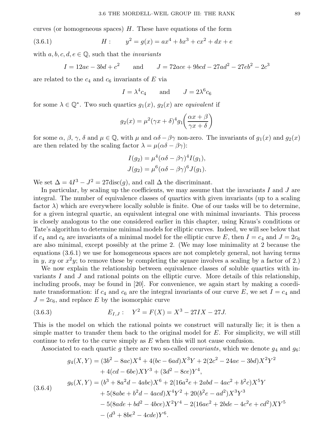curves (or homogeneous spaces)  $H$ . These have equations of the form

(3.6.1) 
$$
H: \qquad y^2 = g(x) = ax^4 + bx^3 + cx^2 + dx + e
$$

with  $a, b, c, d, e \in \mathbb{Q}$ , such that the *invariants* 

$$
I = 12ae - 3bd + c^2 \qquad \text{and} \qquad J = 72ace + 9bcd - 27ad^2 - 27eb^2 - 2c^3
$$

are related to the  $c_4$  and  $c_6$  invariants of E via

$$
I = \lambda^4 c_4 \qquad \text{and} \qquad J = 2\lambda^6 c_6
$$

for some  $\lambda \in \mathbb{Q}^*$ . Two such quartics  $g_1(x)$ ,  $g_2(x)$  are equivalent if

$$
g_2(x) = \mu^2(\gamma x + \delta)^4 g_1\left(\frac{\alpha x + \beta}{\gamma x + \delta}\right)
$$

for some  $\alpha$ ,  $\beta$ ,  $\gamma$ ,  $\delta$  and  $\mu \in \mathbb{Q}$ , with  $\mu$  and  $\alpha\delta - \beta\gamma$  non-zero. The invariants of  $g_1(x)$  and  $g_2(x)$ are then related by the scaling factor  $\lambda = \mu(\alpha \delta - \beta \gamma)$ :

$$
I(g_2) = \mu^4 (\alpha \delta - \beta \gamma)^4 I(g_1),
$$
  
\n
$$
J(g_2) = \mu^6 (\alpha \delta - \beta \gamma)^6 J(g_1).
$$

We set  $\Delta = 4I^3 - J^2 = 27 \text{disc}(g)$ , and call  $\Delta$  the discriminant.

In particular, by scaling up the coefficients, we may assume that the invariants  $I$  and  $J$  are integral. The number of equivalence classes of quartics with given invariants (up to a scaling factor  $\lambda$ ) which are everywhere locally soluble is finite. One of our tasks will be to determine, for a given integral quartic, an equivalent integral one with minimal invariants. This process is closely analogous to the one considered earlier in this chapter, using Kraus's conditions or Tate's algorithm to determine minimal models for elliptic curves. Indeed, we will see below that if  $c_4$  and  $c_6$  are invariants of a minimal model for the elliptic curve E, then  $I = c_4$  and  $J = 2c_6$ are also minimal, except possibly at the prime 2. (We may lose minimality at 2 because the equations (3.6.1) we use for homogeneous spaces are not completely general, not having terms in y, xy or  $x^2y$ ; to remove these by completing the square involves a scaling by a factor of 2.)

We now explain the relationship between equivalence classes of soluble quartics with invariants  $I$  and  $J$  and rational points on the elliptic curve. More details of this relationship, including proofs, may be found in [20]. For convenience, we again start by making a coordinate transformation: if  $c_4$  and  $c_6$  are the integral invariants of our curve E, we set  $I = c_4$  and  $J = 2c_6$ , and replace E by the isomorphic curve

(3.6.3) 
$$
E_{I,J}: Y^2 = F(X) = X^3 - 27IX - 27J.
$$

This is the model on which the rational points we construct will naturally lie; it is then a simple matter to transfer them back to the original model for  $E$ . For simplicity, we will still continue to refer to the curve simply as  $E$  when this will not cause confusion.

Associated to each quartic g there are two so-called *covariants*, which we denote  $g_4$  and  $g_6$ :

$$
g_4(X,Y) = (3b^2 - 8ac)X^4 + 4(bc - 6ad)X^3Y + 2(2c^2 - 24ae - 3bd)X^2Y^2
$$
  
+ 4(cd - 6be)XY<sup>3</sup> + (3d<sup>2</sup> - 8ce)Y<sup>4</sup>,  

$$
g_6(X,Y) = (b^3 + 8a^2d - 4abc)X^6 + 2(16a^2e + 2abd - 4ac^2 + b^2c)X^5Y
$$
  
+ 5(8abe + b<sup>2</sup>d - 4acd)X<sup>4</sup>Y<sup>2</sup> + 20(b<sup>2</sup>e - ad<sup>2</sup>)X<sup>3</sup>Y<sup>3</sup>  
- 5(8ade + bd<sup>2</sup> - 4bce)X<sup>2</sup>Y<sup>4</sup> - 2(16ae<sup>2</sup> + 2bde - 4c<sup>2</sup>e + cd<sup>2</sup>)XY<sup>5</sup>  
– (d<sup>3</sup> + 8be<sup>2</sup> - 4cde)Y<sup>6</sup>.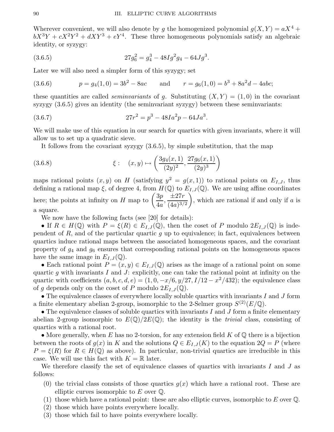Wherever convenient, we will also denote by g the homogenized polynomial  $g(X, Y) = aX^4 +$  $bX^{3}Y + cX^{2}Y^{2} + dXY^{3} + eY^{4}$ . These three homogeneous polynomials satisfy an algebraic identity, or syzygy:

(3.6.5) 
$$
27g_6^2 = g_4^3 - 48Ig^2g_4 - 64Jg^3.
$$

Later we will also need a simpler form of this syzygy; set

(3.6.6) 
$$
p = g_4(1, 0) = 3b^2 - 8ac \quad \text{and} \quad r = g_6(1, 0) = b^3 + 8a^2d - 4abc;
$$

these quantities are called *seminvariants* of q. Substituting  $(X, Y) = (1, 0)$  in the covariant syzygy (3.6.5) gives an identity (the seminvariant syzygy) between these seminvariants:

(3.6.7) 
$$
27r^2 = p^3 - 48Ia^2p - 64Ja^3.
$$

We will make use of this equation in our search for quartics with given invariants, where it will allow us to set up a quadratic sieve.

It follows from the covariant syzygy (3.6.5), by simple substitution, that the map

(3.6.8) 
$$
\xi: (x,y) \mapsto \left(\frac{3g_4(x,1)}{(2y)^2}, \frac{27g_6(x,1)}{(2y)^3}\right)
$$

maps rational points  $(x, y)$  on H (satisfying  $y^2 = g(x, 1)$ ) to rational points on  $E_{I,J}$ , thus defining a rational map  $\xi$ , of degree 4, from  $H(\mathbb{Q})$  to  $E_{I,J}(\mathbb{Q})$ . We are using affine coordinates here; the points at infinity on H map to  $\left(\frac{3p}{4}\right)$ 4a  $\frac{\pm 27r}{(4.13)}$  $(4a)^{3/2}$  $\setminus$ , which are rational if and only if  $a$  is a square.

We now have the following facts (see [20] for details):

• If  $R \in H(\mathbb{Q})$  with  $P = \xi(R) \in E_{I,J}(\mathbb{Q})$ , then the coset of P modulo  $2E_{I,J}(\mathbb{Q})$  is independent of  $R$ , and of the particular quartic  $g$  up to equivalence; in fact, equivalences between quartics induce rational maps between the associated homogeneous spaces, and the covariant property of  $g_4$  and  $g_6$  ensures that corresponding rational points on the homogeneous spaces have the same image in  $E_{I,J}(\mathbb{Q})$ .

• Each rational point  $P = (x, y) \in E_{I,J}(\mathbb{Q})$  arises as the image of a rational point on some quartic q with invariants I and J: explicitly, one can take the rational point at infinity on the quartic with coefficients  $(a, b, c, d, e) = (1, 0, -x/6, y/27, I/12 - x^2/432)$ ; the equivalence class of g depends only on the coset of P modulo  $2E_{I,J}(\mathbb{Q})$ .

• The equivalence classes of everywhere locally soluble quartics with invariants  $I$  and  $J$  form a finite elementary abelian 2-group, isomorphic to the 2-Selmer group  $S^{(2)}(E/\mathbb{Q})$ .

• The equivalence classes of soluble quartics with invariants  $I$  and  $J$  form a finite elementary abelian 2-group isomorphic to  $E(\mathbb{Q})/2E(\mathbb{Q})$ ; the identity is the *trivial* class, consisting of quartics with a rational root.

• More generally, when E has no 2-torsion, for any extension field K of  $\mathbb Q$  there is a bijection between the roots of  $g(x)$  in K and the solutions  $Q \in E_{I,J}(K)$  to the equation  $2Q = P$  (where  $P = \xi(R)$  for  $R \in H(\mathbb{Q})$  as above). In particular, non-trivial quartics are irreducible in this case. We will use this fact with  $K = \mathbb{R}$  later.

We therefore classify the set of equivalence classes of quartics with invariants I and J as follows:

- (0) the trivial class consists of those quartics  $g(x)$  which have a rational root. These are elliptic curves isomorphic to  $E$  over  $\mathbb{Q}$ .
- (1) those which have a rational point: these are also elliptic curves, isomorphic to E over  $\mathbb{Q}$ .
- (2) those which have points everywhere locally.
- (3) those which fail to have points everywhere locally.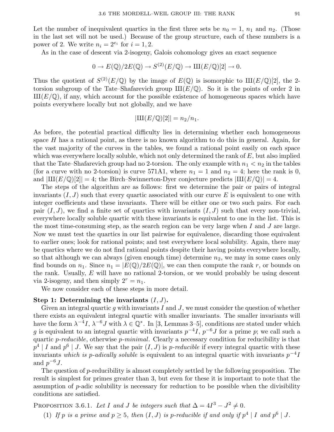Let the number of inequivalent quartics in the first three sets be  $n_0 = 1$ ,  $n_1$  and  $n_2$ . (Those in the last set will not be used.) Because of the group structure, each of these numbers is a power of 2. We write  $n_i = 2^{e_i}$  for  $i = 1, 2$ .

As in the case of descent via 2-isogeny, Galois cohomology gives an exact sequence

$$
0 \to E(\mathbb{Q})/2E(\mathbb{Q}) \to S^{(2)}(E/\mathbb{Q}) \to \mathrm{III}(E/\mathbb{Q})[2] \to 0.
$$

Thus the quotient of  $S^{(2)}(E/\mathbb{Q})$  by the image of  $E(\mathbb{Q})$  is isomorphic to  $\text{III}(E/\mathbb{Q})[2]$ , the 2torsion subgroup of the Tate–Shafarevich group  $III(E/\mathbb{Q})$ . So it is the points of order 2 in  $III(E/\mathbb{Q})$ , if any, which account for the possible existence of homogeneous spaces which have points everywhere locally but not globally, and we have

$$
|\amalg (E/\mathbb{Q})[2]|=n_2/n_1.
$$

As before, the potential practical difficulty lies in determining whether each homogeneous space  $H$  has a rational point, as there is no known algorithm to do this in general. Again, for the vast majority of the curves in the tables, we found a rational point easily on each space which was everywhere locally soluble, which not only determined the rank of  $E$ , but also implied that the Tate–Shafarevich group had no 2-torsion. The only example with  $n_1 < n_2$  in the tables (for a curve with no 2-torsion) is curve 571A1, where  $n_1 = 1$  and  $n_2 = 4$ ; here the rank is 0, and  $|\text{III}(E/\mathbb{Q})[2]| = 4$ ; the Birch–Swinnerton-Dyer conjecture predicts  $|\text{III}(E/\mathbb{Q})| = 4$ .

The steps of the algorithm are as follows: first we determine the pair or pairs of integral invariants  $(I, J)$  such that every quartic associated with our curve E is equivalent to one with integer coefficients and these invariants. There will be either one or two such pairs. For each pair  $(I, J)$ , we find a finite set of quartics with invariants  $(I, J)$  such that every non-trivial, everywhere locally soluble quartic with these invariants is equivalent to one in the list. This is the most time-consuming step, as the search region can be very large when  $I$  and  $J$  are large. Now we must test the quartics in our list pairwise for equivalence, discarding those equivalent to earlier ones; look for rational points; and test everywhere local solubility. Again, there may be quartics where we do not find rational points despite their having points everywhere locally, so that although we can always (given enough time) determine  $n_2$ , we may in some cases only find bounds on  $n_1$ . Since  $n_1 = |E(\mathbb{Q})/2E(\mathbb{Q})|$ , we can then compute the rank r, or bounds on the rank. Usually,  $E$  will have no rational 2-torsion, or we would probably be using descent via 2-isogeny, and then simply  $2^r = n_1$ .

We now consider each of these steps in more detail.

#### Step 1: Determining the invariants  $(I, J)$ .

Given an integral quartic g with invariants I and J, we must consider the question of whether there exists an equivalent integral quartic with smaller invariants. The smaller invariants will have the form  $\lambda^{-4}I$ ,  $\lambda^{-6}J$  with  $\lambda \in \mathbb{Q}^*$ . In [3, Lemmas 3–5], conditions are stated under which g is equivalent to an integral quartic with invariants  $p^{-4}I$ ,  $p^{-6}J$  for a prime p; we call such a quartic *p-reducible*, otherwise *p-minimal*. Clearly a necessary condition for reducibility is that  $p^4$  | I and  $p^6$  | J. We say that the pair  $(I, J)$  is *p-reducible* if every integral quartic with these invariants which is p-adically soluble is equivalent to an integral quartic with invariants  $p^{-4}I$ and  $p^{-6}J$ .

The question of p-reducibility is almost completely settled by the following proposition. The result is simplest for primes greater than 3, but even for these it is important to note that the assumption of p-adic solubility is necessary for reduction to be possible when the divisibility conditions are satisfied.

PROPOSITION 3.6.1. Let I and J be integers such that  $\Delta = 4I^3 - J^2 \neq 0$ . (1) If p is a prime and  $p \ge 5$ , then  $(I, J)$  is p-reducible if and only if  $p^4 \mid I$  and  $p^6 \mid J$ .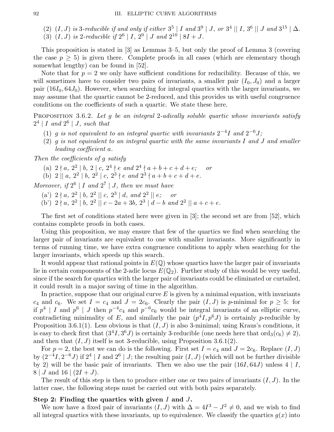(2)  $(I, J)$  is 3-reducible if and only if either  $3^5 \mid I$  and  $3^9 \mid J$ , or  $3^4 \mid I$ ,  $3^6 \mid J$  and  $3^{15} \mid \Delta$ . (3)  $(I, J)$  is 2-reducible if  $2^6 | I, 2^9 | J$  and  $2^{10} | 8I + J$ .

This proposition is stated in [3] as Lemmas 3–5, but only the proof of Lemma 3 (covering the case  $p \geq 5$ ) is given there. Complete proofs in all cases (which are elementary though somewhat lengthy) can be found in [52].

Note that for  $p = 2$  we only have sufficient conditions for reducibility. Because of this, we will sometimes have to consider two pairs of invariants, a smaller pair  $(I_0, J_0)$  and a larger pair  $(16I_0, 64J_0)$ . However, when searching for integral quartics with the larger invariants, we may assume that the quartic cannot be 2-reduced, and this provides us with useful congruence conditions on the coefficients of such a quartic. We state these here.

PROPOSITION 3.6.2. Let q be an integral 2-adically soluble quartic whose invariants satisfy  $2^4 \mid I \text{ and } 2^6 \mid J, \text{ such that}$ 

- (1) g is not equivalent to an integral quartic with invariants  $2^{-4}I$  and  $2^{-6}J$ ;
- $(2)$  g is not equivalent to an integral quartic with the same invariants I and J and smaller leading coefficient a.

Then the coefficients of g satisfy

- (a)  $2 \nmid a, 2^2 \mid b, 2 \mid c, 2^4 \nmid e \text{ and } 2^4 \nmid a+b+c+d+e; \text{ or }$
- (b) 2 || a,  $2^2$  | b,  $2^2$  | c,  $2^3$  | e and  $2^3$  | a + b + c + d + e.

Moreover, if  $2^6 \mid I \text{ and } 2^7 \mid J$ , then we must have

- $(a') 2 \nmid a, 2^2 \mid b, 2^2 \mid c, 2^3 \mid d, \text{ and } 2^2 \mid e;$  or
- (b')  $2 \nmid a, 2^2 \mid b, 2^2 \mid c 2a + 3b, 2^3 \mid d b \text{ and } 2^2 \mid a + c + e.$

The first set of conditions stated here were given in [3]; the second set are from [52], which contains complete proofs in both cases.

Using this proposition, we may ensure that few of the quartics we find when searching the larger pair of invariants are equivalent to one with smaller invariants. More significantly in terms of running time, we have extra congruence conditions to apply when searching for the larger invariants, which speeds up this search.

It would appear that rational points in  $E(\mathbb{Q})$  whose quartics have the larger pair of invariants lie in certain components of the 2-adic locus  $E(\mathbb{Q}_2)$ . Further study of this would be very useful, since if the search for quartics with the larger pair of invariants could be eliminated or curtailed, it could result in a major saving of time in the algorithm.

In practice, suppose that our original curve  $E$  is given by a minimal equation, with invariants  $c_4$  and  $c_6$ . We set  $I = c_4$  and  $J = 2c_6$ . Clearly the pair  $(I, J)$  is p-minimal for  $p \geq 5$ : for if  $p^4$  | I and  $p^6$  | J then  $p^{-4}c_4$  and  $p^{-6}c_6$  would be integral invariants of an elliptic curve, contradicting minimality of E, and similarly the pair  $(p^4I, p^6J)$  is certainly p-reducible by Proposition 3.6.1(1). Less obvious is that  $(I, J)$  is also 3-minimal; using Kraus's conditions, it is easy to check first that  $(3^4I, 3^6J)$  is certainly 3-reducible (one needs here that  $\text{ord}_3(c_6) \neq 2$ ), and then that  $(I, J)$  itself is not 3-reducible, using Proposition 3.6.1(2).

For  $p = 2$ , the best we can do is the following. First set  $I = c_4$  and  $J = 2c_6$ . Replace  $(I, J)$ by  $(2^{-4}I, 2^{-6}J)$  if  $2^4 \mid I$  and  $2^6 \mid J$ ; the resulting pair  $(I, J)$  (which will not be further divisible by 2) will be the basic pair of invariants. Then we also use the pair  $(16I, 64J)$  unless  $4 \mid I$ ,  $8 | J \text{ and } 16 | (2I + J).$ 

The result of this step is then to produce either one or two pairs of invariants  $(I, J)$ . In the latter case, the following steps must be carried out with both pairs separately.

# Step 2: Finding the quartics with given  $I$  and  $J$ .

We now have a fixed pair of invariants  $(I, J)$  with  $\Delta = 4I^3 - J^2 \neq 0$ , and we wish to find all integral quartics with these invariants, up to equivalence. We classify the quartics  $g(x)$  into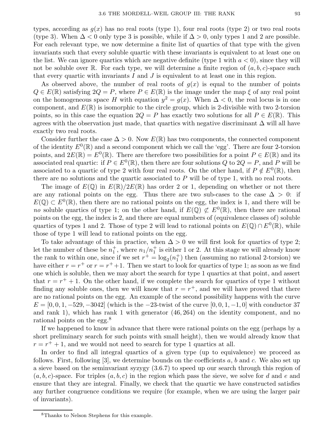types, according as  $g(x)$  has no real roots (type 1), four real roots (type 2) or two real roots

(type 3). When  $\Delta < 0$  only type 3 is possible, while if  $\Delta > 0$ , only types 1 and 2 are possible. For each relevant type, we now determine a finite list of quartics of that type with the given invariants such that every soluble quartic with these invariants is equivalent to at least one on the list. We can ignore quartics which are negative definite (type 1 with  $a < 0$ ), since they will not be soluble over  $\mathbb R$ . For each type, we will determine a finite region of  $(a, b, c)$ -space such that every quartic with invariants  $I$  and  $J$  is equivalent to at least one in this region.

As observed above, the number of real roots of  $q(x)$  is equal to the number of points  $Q \in E(\mathbb{R})$  satisfying  $2Q = P$ , where  $P \in E(\mathbb{R})$  is the image under the map  $\xi$  of any real point on the homogeneous space H with equation  $y^2 = g(x)$ . When  $\Delta < 0$ , the real locus is in one component, and  $E(\mathbb{R})$  is isomorphic to the circle group, which is 2-divisible with two 2-torsion points, so in this case the equation  $2Q = P$  has exactly two solutions for all  $P \in E(\mathbb{R})$ . This agrees with the observation just made, that quartics with negative discriminant  $\Delta$  will all have exactly two real roots.

Consider further the case  $\Delta > 0$ . Now  $E(\mathbb{R})$  has two components, the connected component of the identity  $E^0(\mathbb{R})$  and a second component which we call the 'egg'. There are four 2-torsion points, and  $2E(\mathbb{R}) = E^0(\mathbb{R})$ . There are therefore two possibilities for a point  $P \in E(\mathbb{R})$  and its associated real quartic: if  $P \in E^0(\mathbb{R})$ , then there are four solutions  $Q$  to  $2Q = P$ , and P will be associated to a quartic of type 2 with four real roots. On the other hand, if  $P \notin E^0(\mathbb{R})$ , then there are no solutions and the quartic associated to P will be of type 1, with no real roots.

The image of  $E(\mathbb{Q})$  in  $E(\mathbb{R})/2E(\mathbb{R})$  has order 2 or 1, depending on whether or not there are any rational points on the egg. Thus there are two sub-cases to the case  $\Delta > 0$ : if  $E(\mathbb{Q}) \subset E^0(\mathbb{R})$ , then there are no rational points on the egg, the index is 1, and there will be no soluble quartics of type 1; on the other hand, if  $E(\mathbb{Q}) \not\subset E^0(\mathbb{R})$ , then there are rational points on the egg, the index is 2, and there are equal numbers of (equivalence classes of) soluble quartics of types 1 and 2. Those of type 2 will lead to rational points on  $E(\mathbb{Q}) \cap E^0(\mathbb{R})$ , while those of type 1 will lead to rational points on the egg.

To take advantage of this in practice, when  $\Delta > 0$  we will first look for quartics of type 2; let the number of these be  $n_1^+$ <sup>+</sup><sub>1</sub>, where  $n_1/n_1^+$  is either 1 or 2. At this stage we will already know the rank to within one, since if we set  $r^+ = \log_2(n_1^+$  $_1^+$ ) then (assuming no rational 2-torsion) we have either  $r = r^+$  or  $r = r^+ + 1$ . Then we start to look for quartics of type 1; as soon as we find one which is soluble, then we may abort the search for type 1 quartics at that point, and assert that  $r = r^+ + 1$ . On the other hand, if we complete the search for quartics of type 1 without finding any soluble ones, then we will know that  $r = r^{+}$ , and we will have proved that there are no rational points on the egg. An example of the second possibility happens with the curve  $E = [0, 0, 1, -529, -3042]$  (which is the  $-23$ -twist of the curve  $[0, 0, 1, -1, 0]$  with conductor 37 and rank 1), which has rank 1 with generator (46, 264) on the identity component, and no rational points on the egg.<sup>8</sup>

If we happened to know in advance that there were rational points on the egg (perhaps by a short preliminary search for such points with small height), then we would already know that  $r = r<sup>+</sup> + 1$ , and we would not need to search for type 1 quartics at all.

In order to find all integral quartics of a given type (up to equivalence) we proceed as follows. First, following [3], we determine bounds on the coefficients  $a, b$  and c. We also set up a sieve based on the seminvariant syzygy (3.6.7) to speed up our search through this region of  $(a, b, c)$ -space. For triples  $(a, b, c)$  in the region which pass the sieve, we solve for d and e and ensure that they are integral. Finally, we check that the quartic we have constructed satisfies any further congruence conditions we require (for example, when we are using the larger pair of invariants).

<sup>8</sup>Thanks to Nelson Stephens for this example.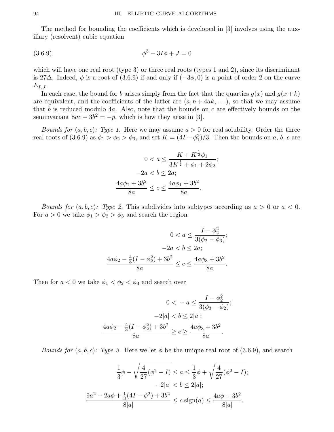The method for bounding the coefficients which is developed in [3] involves using the auxiliary (resolvent) cubic equation

(3.6.9) 
$$
\phi^3 - 3I\phi + J = 0
$$

which will have one real root (type 3) or three real roots (types 1 and 2), since its discriminant is 27∆. Indeed,  $\phi$  is a root of (3.6.9) if and only if  $(-3\phi, 0)$  is a point of order 2 on the curve  $E_{I,J}$ .

In each case, the bound for b arises simply from the fact that the quartics  $g(x)$  and  $g(x+k)$ are equivalent, and the coefficients of the latter are  $(a, b + 4ak, \dots)$ , so that we may assume that b is reduced modulo  $4a$ . Also, note that the bounds on c are effectively bounds on the seminvariant  $8ac - 3b^2 = -p$ , which is how they arise in [3].

Bounds for  $(a, b, c)$ : Type 1. Here we may assume  $a > 0$  for real solubility. Order the three real roots of (3.6.9) as  $\phi_1 > \phi_2 > \phi_3$ , and set  $K = (4I - \phi_1^2)/3$ . Then the bounds on a, b, c are

$$
0 < a \le \frac{K + K^{\frac{1}{2}}\phi_1}{3K^{\frac{1}{2}} + \phi_1 + 2\phi_2};
$$
\n
$$
-2a < b \le 2a;
$$
\n
$$
\frac{4a\phi_2 + 3b^2}{8a} \le c \le \frac{4a\phi_1 + 3b^2}{8a}.
$$

*Bounds for*  $(a, b, c)$ : Type 2. This subdivides into subtypes according as  $a > 0$  or  $a < 0$ . For  $a > 0$  we take  $\phi_1 > \phi_2 > \phi_3$  and search the region

$$
0 < a \le \frac{I - \phi_2^2}{3(\phi_2 - \phi_3)};
$$
\n
$$
-2a < b \le 2a;
$$
\n
$$
\frac{4a\phi_2 - \frac{4}{3}(I - \phi_2^2) + 3b^2}{8a} \le c \le \frac{4a\phi_3 + 3b^2}{8a}.
$$

Then for  $a < 0$  we take  $\phi_1 < \phi_2 < \phi_3$  and search over

$$
0 < -a \le \frac{I - \phi_2^2}{3(\phi_3 - \phi_2)};
$$
\n
$$
-2|a| < b \le 2|a|;
$$
\n
$$
\frac{4a\phi_2 - \frac{4}{3}(I - \phi_2^2) + 3b^2}{8a} \ge c \ge \frac{4a\phi_3 + 3b^2}{8a}.
$$

*Bounds for*  $(a, b, c)$ : Type 3. Here we let  $\phi$  be the unique real root of (3.6.9), and search

$$
\frac{1}{3}\phi - \sqrt{\frac{4}{27}(\phi^2 - I)} \le a \le \frac{1}{3}\phi + \sqrt{\frac{4}{27}(\phi^2 - I)}; \n-2|a| < b \le 2|a|;
$$
\n
$$
\frac{9a^2 - 2a\phi + \frac{1}{3}(4I - \phi^2) + 3b^2}{8|a|} \le c.\text{sign}(a) \le \frac{4a\phi + 3b^2}{8|a|}.
$$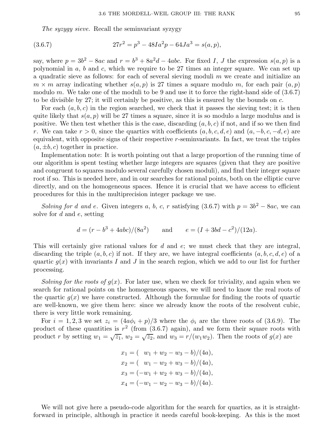The syzygy sieve. Recall the seminvariant syzygy

(3.6.7) 
$$
27r^2 = p^3 - 48Ia^2p - 64Ja^3 = s(a, p),
$$

say, where  $p = 3b^2 - 8ac$  and  $r = b^3 + 8a^2d - 4abc$ . For fixed I, J the expression  $s(a, p)$  is a polynomial in  $a, b$  and  $c$ , which we require to be 27 times an integer square. We can set up a quadratic sieve as follows: for each of several sieving moduli  $m$  we create and initialize an  $m \times m$  array indicating whether  $s(a, p)$  is 27 times a square modulo m, for each pair  $(a, p)$ modulo m. We take one of the moduli to be 9 and use it to force the right-hand side of  $(3.6.7)$ to be divisible by 27; it will certainly be positive, as this is ensured by the bounds on c.

For each  $(a, b, c)$  in the region searched, we check that it passes the sieving test; it is then quite likely that  $s(a, p)$  will be 27 times a square, since it is so modulo a large modulus and is positive. We then test whether this is the case, discarding  $(a, b, c)$  if not, and if so we then find r. We can take  $r > 0$ , since the quartics with coefficients  $(a, b, c, d, e)$  and  $(a, -b, c, -d, e)$  are equivalent, with opposite signs of their respective r-seminvariants. In fact, we treat the triples  $(a, \pm b, c)$  together in practice.

Implementation note: It is worth pointing out that a large proportion of the running time of our algorithm is spent testing whether large integers are squares (given that they are positive and congruent to squares modulo several carefully chosen moduli), and find their integer square root if so. This is needed here, and in our searches for rational points, both on the elliptic curve directly, and on the homogeneous spaces. Hence it is crucial that we have access to efficient procedures for this in the multiprecision integer package we use.

Solving for d and e. Given integers a, b, c, r satisfying  $(3.6.7)$  with  $p = 3b^2 - 8ac$ , we can solve for d and e, setting

$$
d = (r - b^3 + 4abc)/(8a^2)
$$
 and  $e = (I + 3bd - c^2)/(12a)$ .

This will certainly give rational values for d and e; we must check that they are integral, discarding the triple  $(a, b, c)$  if not. If they are, we have integral coefficients  $(a, b, c, d, e)$  of a quartic  $g(x)$  with invariants I and J in the search region, which we add to our list for further processing.

Solving for the roots of  $g(x)$ . For later use, when we check for triviality, and again when we search for rational points on the homogeneous spaces, we will need to know the real roots of the quartic  $q(x)$  we have constructed. Although the formulae for finding the roots of quartic are well-known, we give them here: since we already know the roots of the resolvent cubic, there is very little work remaining.

For  $i = 1, 2, 3$  we set  $z_i = (4a\phi_i + p)/3$  where the  $\phi_i$  are the three roots of (3.6.9). The product of these quantities is  $r^2$  (from (3.6.7) again), and we form their square roots with product r by setting  $w_1 = \sqrt{z_1}$ ,  $w_2 = \sqrt{z_2}$ , and  $w_3 = r/(w_1w_2)$ . Then the roots of  $g(x)$  are

$$
x_1 = (w_1 + w_2 - w_3 - b)/(4a),
$$
  
\n
$$
x_2 = (w_1 - w_2 + w_3 - b)/(4a),
$$
  
\n
$$
x_3 = (-w_1 + w_2 + w_3 - b)/(4a),
$$
  
\n
$$
x_4 = (-w_1 - w_2 - w_3 - b)/(4a).
$$

We will not give here a pseudo-code algorithm for the search for quartics, as it is straightforward in principle, although in practice it needs careful book-keeping. As this is the most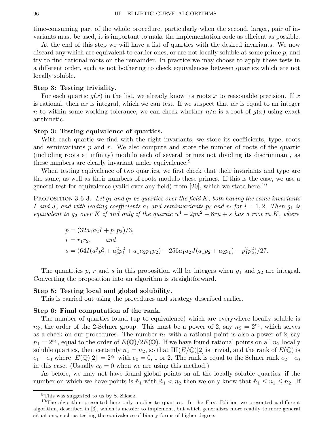time-consuming part of the whole procedure, particularly when the second, larger, pair of invariants must be used, it is important to make the implementation code as efficient as possible.

At the end of this step we will have a list of quartics with the desired invariants. We now discard any which are equivalent to earlier ones, or are not locally soluble at some prime  $p$ , and try to find rational roots on the remainder. In practice we may choose to apply these tests in a different order, such as not bothering to check equivalences between quartics which are not locally soluble.

# Step 3: Testing triviality.

For each quartic  $q(x)$  in the list, we already know its roots x to reasonable precision. If x is rational, then  $ax$  is integral, which we can test. If we suspect that  $ax$  is equal to an integer n to within some working tolerance, we can check whether  $n/a$  is a root of  $g(x)$  using exact arithmetic.

### Step 3: Testing equivalence of quartics.

With each quartic we find with the right invariants, we store its coefficients, type, roots and seminvariants  $p$  and  $r$ . We also compute and store the number of roots of the quartic (including roots at infinity) modulo each of several primes not dividing its discriminant, as these numbers are clearly invariant under equivalence.<sup>9</sup>

When testing equivalence of two quartics, we first check that their invariants and type are the same, as well as their numbers of roots modulo these primes. If this is the case, we use a general test for equivalence (valid over any field) from  $[20]$ , which we state here.<sup>10</sup>

PROPOSITION 3.6.3. Let  $g_1$  and  $g_2$  be quartics over the field K, both having the same invariants I and J, and with leading coefficients  $a_i$  and seminvariants  $p_i$  and  $r_i$  for  $i = 1, 2$ . Then  $g_1$  is equivalent to  $g_2$  over K if and only if the quartic  $u^4 - 2pu^2 - 8ru + s$  has a root in K, where

$$
p = (32a_1a_2I + p_1p_2)/3,
$$
  
\n
$$
r = r_1r_2, \qquad and
$$
  
\n
$$
s = (64I(a_1^2p_2^2 + a_2^2p_1^2 + a_1a_2p_1p_2) - 256a_1a_2J(a_1p_2 + a_2p_1) - p_1^2p_2^2)/27.
$$

The quantities  $p$ ,  $r$  and  $s$  in this proposition will be integers when  $g_1$  and  $g_2$  are integral. Converting the proposition into an algorithm is straightforward.

### Step 5: Testing local and global solubility.

This is carried out using the procedures and strategy described earlier.

#### Step 6: Final computation of the rank.

The number of quartics found (up to equivalence) which are everywhere locally soluble is  $n_2$ , the order of the 2-Selmer group. This must be a power of 2, say  $n_2 = 2^{e_2}$ , which serves as a check on our procedures. The number  $n_1$  with a rational point is also a power of 2, say  $n_1 = 2^{e_1}$ , equal to the order of  $E(\mathbb{Q})/2E(\mathbb{Q})$ . If we have found rational points on all  $n_2$  locally soluble quartics, then certainly  $n_1 = n_2$ , so that  $\text{III}(E/\mathbb{Q})[2]$  is trivial, and the rank of  $E(\mathbb{Q})$  is  $e_1 - e_0$  where  $|E(\mathbb{Q})[2]| = 2^{e_0}$  with  $e_0 = 0, 1$  or 2. The rank is equal to the Selmer rank  $e_2 - e_0$ in this case. (Usually  $e_0 = 0$  when we are using this method.)

As before, we may not have found global points on all the locally soluble quartics; if the number on which we have points is  $\tilde{n}_1$  with  $\tilde{n}_1 < n_2$  then we only know that  $\tilde{n}_1 \leq n_1 \leq n_2$ . If

<sup>&</sup>lt;sup>9</sup>This was suggested to us by S. Siksek.

<sup>&</sup>lt;sup>10</sup>The algorithm presented here only applies to quartics. In the First Edition we presented a different algorithm, described in [3], which is messier to implement, but which generalizes more readily to more general situations, such as testing the equivalence of binary forms of higher degree.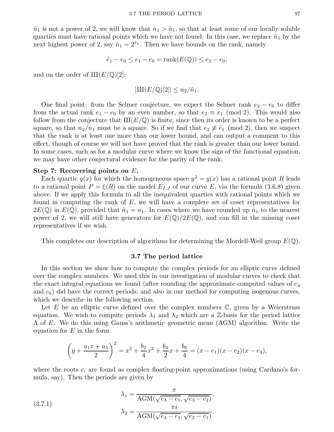$\tilde{n}_1$  is not a power of 2, we will know that  $n_1 > \tilde{n}_1$ , so that at least some of our locally soluble quartics must have rational points which we have not found. In this case, we replace  $\tilde{n}_1$  by the next highest power of 2, say  $\tilde{n}_1 = 2^{\tilde{e}_1}$ . Then we have bounds on the rank, namely

$$
\tilde{e}_1 - e_0 \le e_1 - e_0 = \text{rank}(E(\mathbb{Q})) \le e_2 - e_0,
$$

and on the order of  $III(E/\mathbb{Q})[2]$ :

$$
|\text{III}(E/\mathbb{Q})[2]|\leq n_2/\tilde{n}_1.
$$

One final point: from the Selmer conjecture, we expect the Selmer rank  $e_2 - e_0$  to differ from the actual rank  $e_1 - e_0$  by an even number, so that  $e_2 \equiv e_1 \pmod{2}$ . This would also follow from the conjecture that  $III(E/\mathbb{Q})$  is finite, since then its order is known to be a perfect square, so that  $n_2/n_1$  must be a square. So if we find that  $e_2 \not\equiv \tilde{e}_1 \pmod{2}$ , then we suspect that the rank is at least one more than our lower bound, and can output a comment to this effect, though of course we will not have proved that the rank is greater than our lower bound. In some cases, such as for a modular curve where we know the sign of the functional equation, we may have other conjectural evidence for the parity of the rank.

# Step 7: Recovering points on E.

Each quartic  $g(x)$  for which the homogeneous space  $y^2 = g(x)$  has a rational point R leads to a rational point  $P = \xi(R)$  on the model  $E_{I,J}$  of our curve E, via the formula (3.6.8) given above. If we apply this formula to all the inequivalent quartics with rational points which we found in computing the rank of  $E$ , we will have a complete set of coset representatives for  $2E(\mathbb{Q})$  in  $E(\mathbb{Q})$ , provided that  $\tilde{n}_1 = n_1$ . In cases where we have rounded up  $\tilde{n}_1$  to the nearest power of 2, we will still have generators for  $E(\mathbb{Q})/2E(\mathbb{Q})$ , and can fill in the missing coset representatives if we wish.

This completes our description of algorithms for determining the Mordell-Weil group  $E(\mathbb{Q})$ .

### 3.7 The period lattice

In this section we show how to compute the complex periods for an elliptic curve defined over the complex numbers. We used this in our investigation of modular curves to check that the exact integral equations we found (after rounding the approximate computed values of  $c_4$ and  $c_6$ ) did have the correct periods; and also in our method for computing isogenous curves, which we describe in the following section.

Let E be an elliptic curve defined over the complex numbers  $\mathbb{C}$ , given by a Weierstrass equation. We wish to compute periods  $\lambda_1$  and  $\lambda_2$  which are a Z-basis for the period lattice Λ of E. We do this using Gauss's arithmetic–geometric mean (AGM) algorithm. Write the equation for  $E$  in the form

$$
\left(y + \frac{a_1x + a_3}{2}\right)^2 = x^3 + \frac{b_2}{4}x^2 + \frac{b_4}{2}x + \frac{b_6}{4} = (x - e_1)(x - e_2)(x - e_3),
$$

where the roots  $e_i$  are found as complex floating-point approximations (using Cardano's formula, say). Then the periods are given by

(3.7.1) 
$$
\lambda_1 = \frac{\pi}{\text{AGM}(\sqrt{e_3 - e_1}, \sqrt{e_3 - e_2})},
$$

$$
\lambda_2 = \frac{\pi i}{\text{AGM}(\sqrt{e_3 - e_1}, \sqrt{e_2 - e_1})}.
$$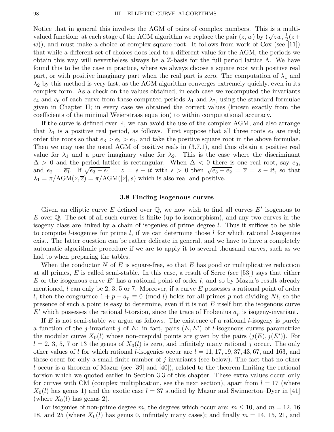Notice that in general this involves the AGM of pairs of complex numbers. This is a multivalued function: at each stage of the AGM algorithm we replace the pair  $(z, w)$  by  $(\sqrt{zw}, \frac{1}{2})$  $rac{1}{2}(z+$  $(w)$ , and must make a choice of complex square root. It follows from work of Cox (see [11]) that while a different set of choices does lead to a different value for the AGM, the periods we obtain this way will nevertheless always be a  $\mathbb{Z}$ -basis for the full period lattice Λ. We have found this to be the case in practice, where we always choose a square root with positive real part, or with positive imaginary part when the real part is zero. The computation of  $\lambda_1$  and  $\lambda_2$  by this method is very fast, as the AGM algorithm converges extremely quickly, even in its complex form. As a check on the values obtained, in each case we recomputed the invariants  $c_4$  and  $c_6$  of each curve from these computed periods  $\lambda_1$  and  $\lambda_2$ , using the standard formulae given in Chapter II; in every case we obtained the correct values (known exactly from the coefficients of the minimal Weierstrass equation) to within computational accuracy.

If the curve is defined over  $\mathbb{R}$ , we can avoid the use of the complex AGM, and also arrange that  $\lambda_1$  is a positive real period, as follows. First suppose that all three roots  $e_i$  are real; order the roots so that  $e_3 > e_2 > e_1$ , and take the positive square root in the above formulae. Then we may use the usual AGM of positive reals in (3.7.1), and thus obtain a positive real value for  $\lambda_1$  and a pure imaginary value for  $\lambda_2$ . This is the case where the discriminant  $\Delta > 0$  and the period lattice is rectangular. When  $\Delta < 0$  there is one real root, say  $e_3$ , and  $e_2 = \overline{e_1}$ . If  $\sqrt{e_3 - e_1} = z = s + it$  with  $s > 0$  then  $\sqrt{e_3 - e_2} = \overline{z} = s - it$ , so that  $\lambda_1 = \pi / \text{AGM}(z, \overline{z}) = \pi / \text{AGM}(|z|, s)$  which is also real and positive.

#### 3.8 Finding isogenous curves

Given an elliptic curve E defined over  $\mathbb{Q}$ , we now wish to find all curves  $E'$  isogenous to E over  $\mathbb Q$ . The set of all such curves is finite (up to isomorphism), and any two curves in the isogeny class are linked by a chain of isogenies of prime degree  $l$ . Thus it suffices to be able to compute *l*-isogenies for prime *l*, if we can determine those *l* for which rational *l*-isogenies exist. The latter question can be rather delicate in general, and we have to have a completely automatic algorithmic procedure if we are to apply it to several thousand curves, such as we had to when preparing the tables.

When the conductor N of E is square-free, so that E has good or multiplicative reduction at all primes, E is called semi-stable. In this case, a result of Serre (see [53]) says that either E or the isogenous curve E' has a rational point of order l, and so by Mazur's result already mentioned, l can only be 2, 3, 5 or 7. Moreover, if a curve E possesses a rational point of order l, then the congruence  $1 + p - a_p \equiv 0 \pmod{l}$  holds for all primes p not dividing Nl, so the presence of such a point is easy to determine, even if it is not  $E$  itself but the isogenous curve  $E'$  which possesses the rational *l*-torsion, since the trace of Frobenius  $a_p$  is isogeny-invariant.

If  $E$  is not semi-stable we argue as follows. The existence of a rational *l*-isogeny is purely a function of the *j*-invariant *j* of E: in fact, pairs  $(E, E')$  of *l*-isogenous curves parametrize the modular curve  $X_0(l)$  whose non-cuspidal points are given by the pairs  $(j(E), j(E'))$ . For  $l = 2, 3, 5, 7$  or 13 the genus of  $X<sub>0</sub>(l)$  is zero, and infinitely many rational j occur. The only other values of l for which rational l-isogenies occur are  $l = 11, 17, 19, 37, 43, 67,$  and 163, and these occur for only a small finite number of j-invariants (see below). The fact that no other l occur is a theorem of Mazur (see [39] and [40]), related to the theorem limiting the rational torsion which we quoted earlier in Section 3.3 of this chapter. These extra values occur only for curves with CM (complex multiplication, see the next section), apart from  $l = 17$  (where  $X_0(l)$  has genus 1) and the exotic case  $l = 37$  studied by Mazur and Swinnerton–Dyer in [41] (where  $X_0(l)$  has genus 2).

For isogenies of non-prime degree m, the degrees which occur are:  $m \leq 10$ , and  $m = 12, 16$ 18, and 25 (where  $X_0(l)$  has genus 0, infinitely many cases); and finally  $m = 14, 15, 21,$  and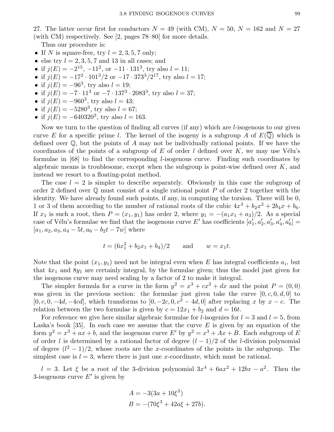27. The latter occur first for conductors  $N = 49$  (with CM),  $N = 50$ ,  $N = 162$  and  $N = 27$ (with CM) respectively. See [2, pages 78–80] for more details.

Thus our procedure is:

- If N is square-free, try  $l = 2, 3, 5, 7$  only;
- else try  $l = 2, 3, 5, 7$  and 13 in all cases; and
- if  $j(E) = -2^{15}$ ,  $-11^2$ , or  $-11 \cdot 131^3$ , try also  $l = 11$ ;
- if  $j(E) = -17^2 \cdot 101^3/2$  or  $-17 \cdot 373^3/2^{17}$ , try also  $l = 17$ ;
- if  $j(E) = -96^3$ , try also  $l = 19$ ;
- if  $j(E) = -7 \cdot 11^3$  or  $-7 \cdot 137^3 \cdot 2083^3$ , try also  $l = 37$ ;
- if  $j(E) = -960^3$ , try also  $l = 43$ ;
- if  $j(E) = -5280^3$ , try also  $l = 67$ ;
- if  $j(E) = -640320^3$ , try also  $l = 163$ .

Now we turn to the question of finding all curves (if any) which are l-isogenous to our given curve E for a specific prime l. The kernel of the isogeny is a subgroup A of  $E(\mathbb{Q})$  which is defined over  $\mathbb{Q}$ , but the points of A may not be individually rational points. If we have the coordinates of the points of a subgroup of  $E$  of order l defined over  $K$ , we may use Vélu's formulae in [68] to find the corresponding l-isogenous curve. Finding such coordinates by algebraic means is troublesome, except when the subgroup is point-wise defined over  $K$ , and instead we resort to a floating-point method.

The case  $l = 2$  is simpler to describe separately. Obviously in this case the subgroup of order 2 defined over  $\mathbb Q$  must consist of a single rational point P of order 2 together with the identity. We have already found such points, if any, in computing the torsion. There will be 0, 1 or 3 of them according to the number of rational roots of the cubic  $4x^3 + b_2x^2 + 2b_4x + b_6$ . If  $x_1$  is such a root, then  $P = (x_1, y_1)$  has order 2, where  $y_1 = -(a_1x_1 + a_3)/2$ . As a special case of Vélu's formulae we find that the isogenous curve E' has coefficients  $[a'_1, a'_2, a'_3, a'_4, a'_6] =$  $[a_1, a_2, a_3, a_4 - 5t, a_6 - b_2t - 7w]$  where

$$
t = (6x_1^2 + b_2x_1 + b_4)/2
$$
 and  $w = x_1t$ .

Note that the point  $(x_1, y_1)$  need not be integral even when E has integral coefficients  $a_i$ , but that  $4x_1$  and  $8y_1$  are certainly integral, by the formulae given; thus the model just given for the isogenous curve may need scaling by a factor of 2 to make it integral.

The simpler formula for a curve in the form  $y^2 = x^3 + cx^2 + dx$  and the point  $P = (0,0)$ was given in the previous section: the formulae just given take the curve  $[0, c, 0, d, 0]$  to  $[0, c, 0, -4d, -4cd]$ , which transforms to  $[0, -2c, 0, c^2 - 4d, 0]$  after replacing x by  $x - c$ . The relation between the two formulae is given by  $c = 12x_1 + b_2$  and  $d = 16t$ .

For reference we give here similar algebraic formulae for *l*-isogenies for  $l = 3$  and  $l = 5$ , from Laska's book [35]. In each case we assume that the curve  $E$  is given by an equation of the form  $y^2 = x^3 + ax + b$ , and the isogenous curve E' by  $y^2 = x^3 + Ax + B$ . Each subgroup of E of order l is determined by a rational factor of degree  $(l-1)/2$  of the l-division polynomial of degree  $(l^2 - 1)/2$ , whose roots are the x-coordinates of the points in the subgroup. The simplest case is  $l = 3$ , where there is just one x-coordinate, which must be rational.

 $l = 3$ . Let  $\xi$  be a root of the 3-division polynomial  $3x^4 + 6ax^2 + 12bx - a^2$ . Then the 3-isogenous curve  $E'$  is given by

$$
A = -3(3a + 10\xi^{2})
$$
  

$$
B = -(70\xi^{3} + 42a\xi + 27b).
$$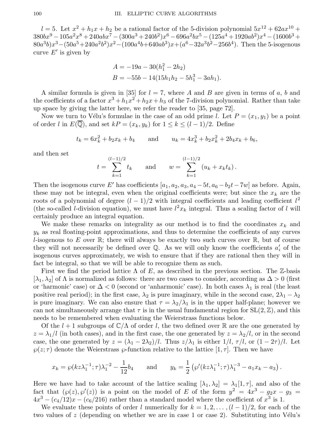$l = 5$ . Let  $x^2 + h_1x + h_2$  be a rational factor of the 5-division polynomial  $5x^{12} + 62ax^{10} +$  $380bx^9 - 105a^2x^8 + 240abx^7 - (300a^3 + 240b^2)x^6 - 696a^2bx^5 - (125a^4 + 1920ab^2)x^4 - (1600b^3 +$  $80a^3b)x^3 - (50a^5 + 240a^2b^2)x^2 - (100a^4b + 640ab^3)x + (a^6 - 32a^3b^2 - 256b^4)$ . Then the 5-isogenous curve  $E'$  is given by

$$
A = -19a - 30(h_1^2 - 2h_2)
$$
  
\n
$$
B = -55b - 14(15h_1h_2 - 5h_1^3 - 3ah_1).
$$

A similar formula is given in [35] for  $l = 7$ , where A and B are given in terms of a, b and the coefficients of a factor  $x^3 + h_1x^2 + h_2x + h_3$  of the 7-division polynomial. Rather than take up space by giving the latter here, we refer the reader to [35, page 72].

Now we turn to Vélu's formulae in the case of an odd prime l. Let  $P = (x_1, y_1)$  be a point of order l in  $E(\overline{\mathbb{Q}})$ , and set  $kP = (x_k, y_k)$  for  $1 \leq k \leq (l-1)/2$ . Define

$$
t_k = 6x_k^2 + b_2x_k + b_4
$$
 and  $u_k = 4x_k^3 + b_2x_k^2 + 2b_4x_k + b_6$ ,

and then set

$$
t = \sum_{k=1}^{(l-1)/2} t_k
$$
 and  $w = \sum_{k=1}^{(l-1)/2} (u_k + x_k t_k).$ 

Then the isogenous curve E' has coefficients  $[a_1, a_2, a_3, a_4 - 5t, a_6 - b_2t - 7w]$  as before. Again, these may not be integral, even when the original coefficients were; but since the  $x_k$  are the roots of a polynomial of degree  $(l-1)/2$  with integral coefficients and leading coefficient  $l^2$ (the so-called *l*-division equation), we must have  $l^2 x_k$  integral. Thus a scaling factor of *l* will certainly produce an integral equation.

We make these remarks on integrality as our method is to find the coordinates  $x_k$  and  $y_k$  as real floating-point approximations, and thus to determine the coefficients of any curves *l*-isogenous to E over  $\mathbb{R}$ ; there will always be exactly two such curves over  $\mathbb{R}$ , but of course they will not necessarily be defined over  $\mathbb{Q}$ . As we will only know the coefficients  $a'_i$  of the isogenous curves approximately, we wish to ensure that if they are rational then they will in fact be integral, so that we will be able to recognize them as such.

First we find the period lattice  $\Lambda$  of E, as described in the previous section. The Z-basis  $[\lambda_1, \lambda_2]$  of  $\Lambda$  is normalized as follows: there are two cases to consider, according as  $\Delta > 0$  (first or 'harmonic' case) or  $\Delta < 0$  (second or 'anharmonic' case). In both cases  $\lambda_1$  is real (the least positive real period); in the first case,  $\lambda_2$  is pure imaginary, while in the second case,  $2\lambda_1 - \lambda_2$ is pure imaginary. We can also ensure that  $\tau = \lambda_2/\lambda_1$  is in the upper half-plane; however we can not simultaneously arrange that  $\tau$  is in the usual fundamental region for  $SL(2, \mathbb{Z})$ , and this needs to be remembered when evaluating the Weierstrass functions below.

Of the  $l + 1$  subgroups of  $\mathbb{C}/\Lambda$  of order l, the two defined over R are the one generated by  $z = \lambda_1/l$  (in both cases), and in the first case, the one generated by  $z = \lambda_2/l$ , or in the second case, the one generated by  $z = (\lambda_1 - 2\lambda_2)/l$ . Thus  $z/\lambda_1$  is either  $1/l$ ,  $\tau/l$ , or  $(1 - 2\tau)/l$ . Let  $\wp(z;\tau)$  denote the Weierstrass  $\wp$ -function relative to the lattice  $[1,\tau]$ . Then we have

$$
x_k = \wp(kz\lambda_1^{-1}; \tau)\lambda_1^{-2} - \frac{1}{12}b_4
$$
 and  $y_k = \frac{1}{2} (\wp'(kz\lambda_1^{-1}; \tau)\lambda_1^{-3} - a_1x_k - a_3).$ 

Here we have had to take account of the lattice scaling  $[\lambda_1, \lambda_2] = \lambda_1[1, \tau]$ , and also of the fact that  $(\varphi(z), \varphi'(z))$  is a point on the model of E of the form  $y^2 = 4x^3 - g_2x - g_3 =$  $4x^3 - (c_4/12)x - (c_6/216)$  rather than a standard model where the coefficient of  $x^3$  is 1.

We evaluate these points of order l numerically for  $k = 1, 2, \ldots, (l-1)/2$ , for each of the two values of z (depending on whether we are in case 1 or case 2). Substituting into Vélu's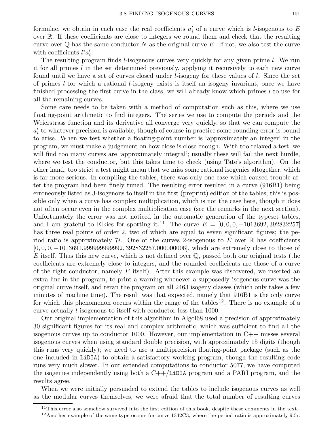formulae, we obtain in each case the real coefficients  $a'_i$  of a curve which is *l*-isogenous to E over R. If these coefficients are close to integers we round them and check that the resulting curve over  $\mathbb Q$  has the same conductor N as the original curve E. If not, we also test the curve with coefficients  $l^i a'_i$ .

The resulting program finds *l*-isogenous curves very quickly for any given prime *l*. We run it for all primes l in the set determined previously, applying it recursively to each new curve found until we have a set of curves closed under l-isogeny for these values of l. Since the set of primes  $l$  for which a rational  $l$ -isogeny exists is itself an isogeny invariant, once we have finished processing the first curve in the class, we will already know which primes  $l$  to use for all the remaining curves.

Some care needs to be taken with a method of computation such as this, where we use floating-point arithmetic to find integers. The series we use to compute the periods and the Weierstrass function and its derivative all converge very quickly, so that we can compute the  $a'_i$  to whatever precision is available, though of course in practice some rounding error is bound to arise. When we test whether a floating-point number is 'approximately an integer' in the program, we must make a judgement on how close is close enough. With too relaxed a test, we will find too many curves are 'approximately integral'; usually these will fail the next hurdle, where we test the conductor, but this takes time to check (using Tate's algorithm). On the other hand, too strict a test might mean that we miss some rational isogenies altogether, which is far more serious. In compiling the tables, there was only one case which caused trouble after the program had been finely tuned. The resulting error resulted in a curve (916B1) being erroneously listed as 3-isogenous to itself in the first (preprint) edition of the tables; this is possible only when a curve has complex multiplication, which is not the case here, though it does not often occur even in the complex multiplication case (see the remarks in the next section). Unfortunately the error was not noticed in the automatic generation of the typeset tables, and I am grateful to Elkies for spotting it.<sup>11</sup> The curve  $E = [0, 0, 0, -1013692, 392832257]$ has three real points of order 2, two of which are equal to seven significant figures; the period ratio is approximately 7*i*. One of the curves 2-isogenous to E over R has coefficients [0, 0, 0, −1013691.999999999992, 392832257.000000006], which are extremely close to those of E itself. Thus this new curve, which is not defined over  $\mathbb{Q}$ , passed both our original tests (the coefficients are extremely close to integers, and the rounded coefficients are those of a curve of the right conductor, namely  $E$  itself). After this example was discovered, we inserted an extra line in the program, to print a warning whenever a supposedly isogenous curve was the original curve itself, and reran the program on all 2463 isogeny classes (which only takes a few minutes of machine time). The result was that expected, namely that 916B1 is the only curve for which this phenomenon occurs within the range of the tables<sup>12</sup>. There is no example of a curve actually l-isogenous to itself with conductor less than 1000.

Our original implementation of this algorithm in Algol68 used a precision of approximately 30 significant figures for its real and complex arithmetic, which was sufficient to find all the isogenous curves up to conductor 1000. However, our implementation in C++ misses several isogenous curves when using standard double precision, with approximately 15 digits (though this runs very quickly); we need to use a multiprecision floating-point package (such as the one included in LiDIA) to obtain a satisfactory working program, though the resulting code runs very much slower. In our extended computations to conductor 5077, we have computed the isogenies independently using both a  $C++/L$ **iDIA** program and a PARI program, and the results agree.

When we were initially persuaded to extend the tables to include isogenous curves as well as the modular curves themselves, we were afraid that the total number of resulting curves

 $11$ This error also somehow survived into the first edition of this book, despite these comments in the text.

<sup>&</sup>lt;sup>12</sup>Another example of the same type occurs for curve 1342C3, where the period ratio is approximately  $9.5i$ .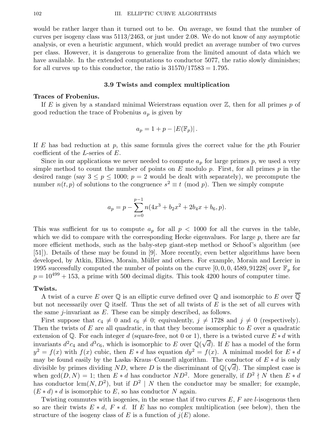would be rather larger than it turned out to be. On average, we found that the number of curves per isogeny class was 5113/2463, or just under 2.08. We do not know of any asymptotic analysis, or even a heuristic argument, which would predict an average number of two curves per class. However, it is dangerous to generalize from the limited amount of data which we have available. In the extended computations to conductor 5077, the ratio slowly diminishes; for all curves up to this conductor, the ratio is  $31570/17583 = 1.795$ .

#### 3.9 Twists and complex multiplication

#### Traces of Frobenius.

If E is given by a standard minimal Weierstrass equation over  $\mathbb{Z}$ , then for all primes p of good reduction the trace of Frobenius  $a_p$  is given by

$$
a_p = 1 + p - |E(\mathbb{F}_p)|.
$$

If  $E$  has bad reduction at  $p$ , this same formula gives the correct value for the  $p$ th Fourier coefficient of the L-series of E.

Since in our applications we never needed to compute  $a_p$  for large primes p, we used a very simple method to count the number of points on  $E$  modulo  $p$ . First, for all primes  $p$  in the desired range (say  $3 \le p \le 1000$ ;  $p = 2$  would be dealt with separately), we precompute the number  $n(t, p)$  of solutions to the congruence  $s^2 \equiv t \pmod{p}$ . Then we simply compute

$$
a_p = p - \sum_{x=0}^{p-1} n(4x^3 + b_2x^2 + 2b_4x + b_6, p).
$$

This was sufficient for us to compute  $a_p$  for all  $p < 1000$  for all the curves in the table, which we did to compare with the corresponding Hecke eigenvalues. For large  $p$ , there are far more efficient methods, such as the baby-step giant-step method or Schoof's algorithm (see [51]). Details of these may be found in [9]. More recently, even better algorithms have been developed, by Atkin, Elkies, Morain, Müller and others. For example, Morain and Lercier in 1995 successfully computed the number of points on the curve [0, 0, 0, 4589, 91228] over  $\mathbb{F}_p$  for  $p = 10^{499} + 153$ , a prime with 500 decimal digits. This took 4200 hours of computer time.

### Twists.

A twist of a curve E over  $\mathbb Q$  is an elliptic curve defined over  $\mathbb Q$  and isomorphic to E over  $\overline{\mathbb Q}$ but not necessarily over  $\mathbb Q$  itself. Thus the set of all twists of E is the set of all curves with the same  $j$ -invariant as  $E$ . These can be simply described, as follows.

First suppose that  $c_4 \neq 0$  and  $c_6 \neq 0$ ; equivalently,  $j \neq 1728$  and  $j \neq 0$  (respectively). Then the twists of  $E$  are all quadratic, in that they become isomorphic to  $E$  over a quadratic extension of  $\mathbb{Q}$ . For each integer d (square-free, not 0 or 1), there is a twisted curve  $E * d$  with invariants  $d^2c_4$  and  $d^3c_6$ , which is isomorphic to E over  $\mathbb{Q}(\sqrt{d})$ . If E has a model of the form  $y^2 = f(x)$  with  $f(x)$  cubic, then  $E * d$  has equation  $dy^2 = f(x)$ . A minimal model for  $E * d$ may be found easily by the Laska–Kraus–Connell algorithm. The conductor of  $E * d$  is only divisible by primes dividing  $ND$ , where D is the discriminant of  $\mathbb{Q}(\sqrt{d})$ . The simplest case is when  $gcd(D, N) = 1$ ; then  $E * d$  has conductor  $ND^2$ . More generally, if  $D^2 \nmid N$  then  $E * d$ has conductor  $\text{lcm}(N, D^2)$ , but if  $D^2 \mid N$  then the conductor may be smaller; for example,  $(E * d) * d$  is isomorphic to E, so has conductor N again.

Twisting commutes with isogenies, in the sense that if two curves  $E, F$  are l-isogenous then so are their twists  $E * d$ ,  $F * d$ . If E has no complex multiplication (see below), then the structure of the isogeny class of E is a function of  $j(E)$  alone.